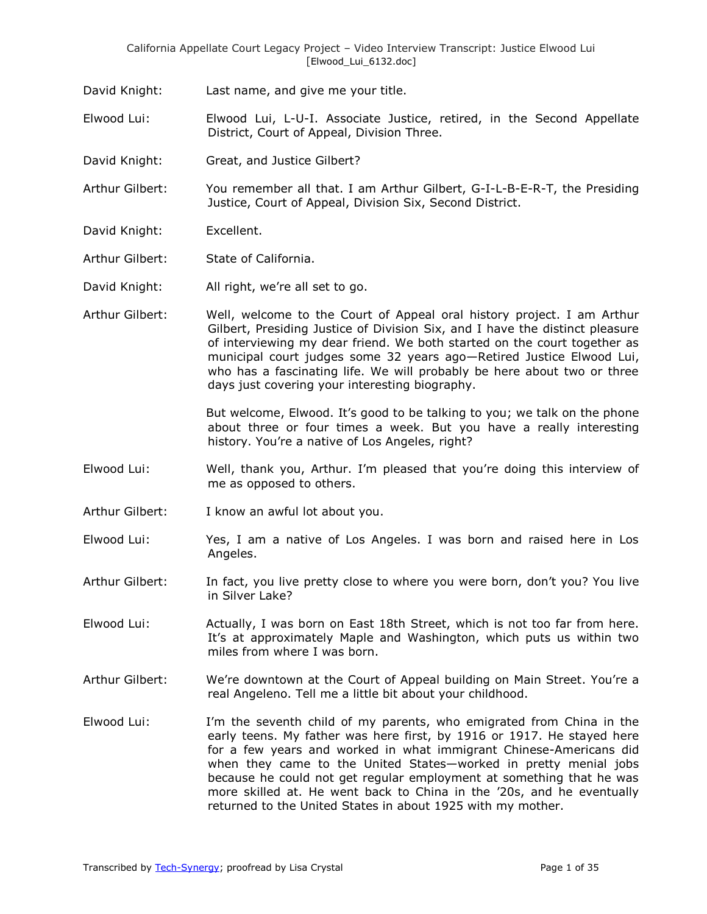- David Knight: Last name, and give me your title.
- Elwood Lui: Elwood Lui, L-U-I. Associate Justice, retired, in the Second Appellate District, Court of Appeal, Division Three.
- David Knight: Great, and Justice Gilbert?
- Arthur Gilbert: You remember all that. I am Arthur Gilbert, G-I-L-B-E-R-T, the Presiding Justice, Court of Appeal, Division Six, Second District.
- David Knight: Excellent.
- Arthur Gilbert: State of California.
- David Knight: All right, we're all set to go.
- Arthur Gilbert: Well, welcome to the Court of Appeal oral history project. I am Arthur Gilbert, Presiding Justice of Division Six, and I have the distinct pleasure of interviewing my dear friend. We both started on the court together as municipal court judges some 32 years ago—Retired Justice Elwood Lui, who has a fascinating life. We will probably be here about two or three days just covering your interesting biography.

But welcome, Elwood. It's good to be talking to you; we talk on the phone about three or four times a week. But you have a really interesting history. You're a native of Los Angeles, right?

- Elwood Lui: Well, thank you, Arthur. I'm pleased that you're doing this interview of me as opposed to others.
- Arthur Gilbert: I know an awful lot about you.
- Elwood Lui: Yes, I am a native of Los Angeles. I was born and raised here in Los Angeles.
- Arthur Gilbert: In fact, you live pretty close to where you were born, don't you? You live in Silver Lake?
- Elwood Lui: Actually, I was born on East 18th Street, which is not too far from here. It's at approximately Maple and Washington, which puts us within two miles from where I was born.
- Arthur Gilbert: We're downtown at the Court of Appeal building on Main Street. You're a real Angeleno. Tell me a little bit about your childhood.
- Elwood Lui: I'm the seventh child of my parents, who emigrated from China in the early teens. My father was here first, by 1916 or 1917. He stayed here for a few years and worked in what immigrant Chinese-Americans did when they came to the United States—worked in pretty menial jobs because he could not get regular employment at something that he was more skilled at. He went back to China in the '20s, and he eventually returned to the United States in about 1925 with my mother.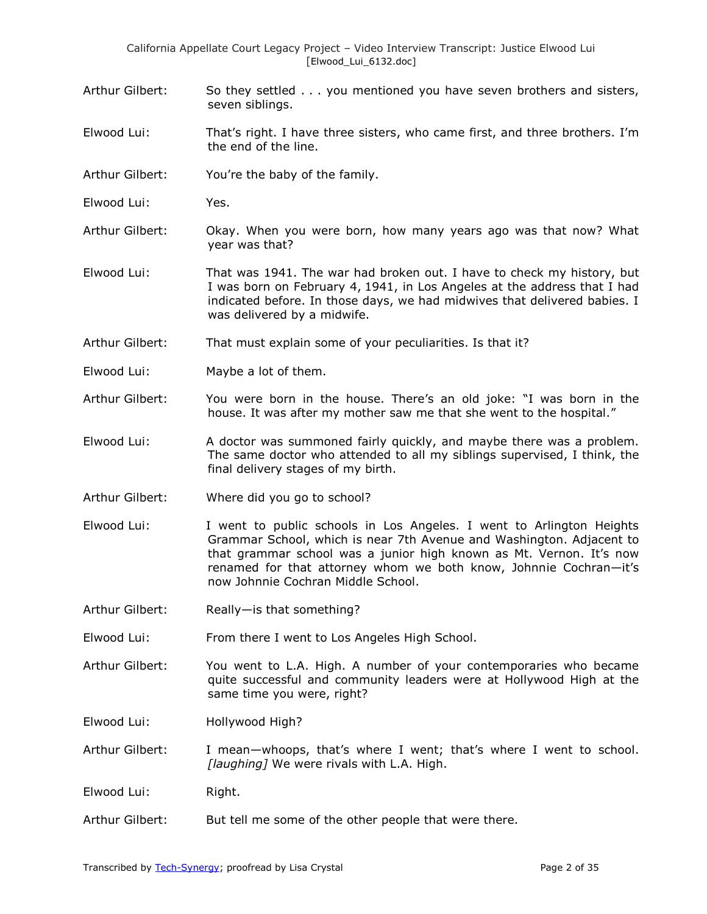- Arthur Gilbert: So they settled . . . you mentioned you have seven brothers and sisters, seven siblings.
- Elwood Lui: That's right. I have three sisters, who came first, and three brothers. I'm the end of the line.
- Arthur Gilbert: You're the baby of the family.
- Elwood Lui: Yes.
- Arthur Gilbert: Okay. When you were born, how many years ago was that now? What year was that?
- Elwood Lui: That was 1941. The war had broken out. I have to check my history, but I was born on February 4, 1941, in Los Angeles at the address that I had indicated before. In those days, we had midwives that delivered babies. I was delivered by a midwife.
- Arthur Gilbert: That must explain some of your peculiarities. Is that it?
- Elwood Lui: Maybe a lot of them.
- Arthur Gilbert: You were born in the house. There's an old joke: "I was born in the house. It was after my mother saw me that she went to the hospital."
- Elwood Lui: A doctor was summoned fairly quickly, and maybe there was a problem. The same doctor who attended to all my siblings supervised, I think, the final delivery stages of my birth.
- Arthur Gilbert: Where did you go to school?
- Elwood Lui: I went to public schools in Los Angeles. I went to Arlington Heights Grammar School, which is near 7th Avenue and Washington. Adjacent to that grammar school was a junior high known as Mt. Vernon. It's now renamed for that attorney whom we both know, Johnnie Cochran—it's now Johnnie Cochran Middle School.
- Arthur Gilbert: Really—is that something?
- Elwood Lui: From there I went to Los Angeles High School.
- Arthur Gilbert: You went to L.A. High. A number of your contemporaries who became quite successful and community leaders were at Hollywood High at the same time you were, right?
- Elwood Lui: Hollywood High?
- Arthur Gilbert: I mean—whoops, that's where I went; that's where I went to school. *[laughing]* We were rivals with L.A. High.
- Elwood Lui: Right.
- Arthur Gilbert: But tell me some of the other people that were there.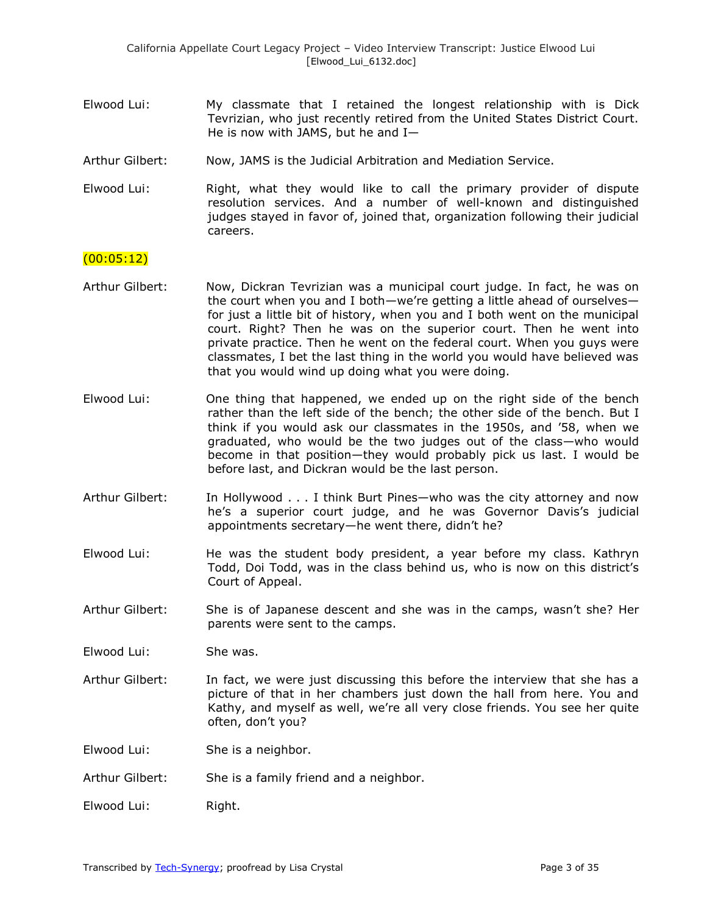- Elwood Lui: My classmate that I retained the longest relationship with is Dick Tevrizian, who just recently retired from the United States District Court. He is now with JAMS, but he and I—
- Arthur Gilbert: Now, JAMS is the Judicial Arbitration and Mediation Service.
- Elwood Lui: Right, what they would like to call the primary provider of dispute resolution services. And a number of well-known and distinguished judges stayed in favor of, joined that, organization following their judicial careers.

### (00:05:12)

- Arthur Gilbert: Now, Dickran Tevrizian was a municipal court judge. In fact, he was on the court when you and I both—we're getting a little ahead of ourselves for just a little bit of history, when you and I both went on the municipal court. Right? Then he was on the superior court. Then he went into private practice. Then he went on the federal court. When you guys were classmates, I bet the last thing in the world you would have believed was that you would wind up doing what you were doing.
- Elwood Lui: One thing that happened, we ended up on the right side of the bench rather than the left side of the bench; the other side of the bench. But I think if you would ask our classmates in the 1950s, and '58, when we graduated, who would be the two judges out of the class—who would become in that position—they would probably pick us last. I would be before last, and Dickran would be the last person.
- Arthur Gilbert: In Hollywood . . . I think Burt Pines—who was the city attorney and now he's a superior court judge, and he was Governor Davis's judicial appointments secretary—he went there, didn't he?
- Elwood Lui: He was the student body president, a year before my class. Kathryn Todd, Doi Todd, was in the class behind us, who is now on this district's Court of Appeal.
- Arthur Gilbert: She is of Japanese descent and she was in the camps, wasn't she? Her parents were sent to the camps.

Elwood Lui: She was.

Arthur Gilbert: In fact, we were just discussing this before the interview that she has a picture of that in her chambers just down the hall from here. You and Kathy, and myself as well, we're all very close friends. You see her quite often, don't you?

Elwood Lui: She is a neighbor.

- Arthur Gilbert: She is a family friend and a neighbor.
- Elwood Lui: Right.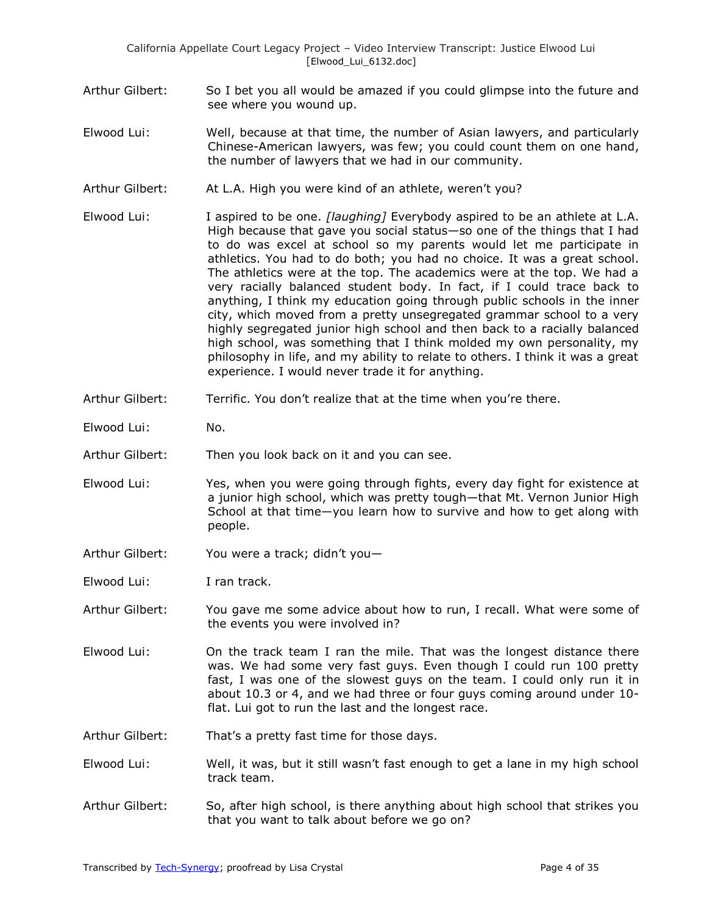- Arthur Gilbert: So I bet you all would be amazed if you could glimpse into the future and see where you wound up.
- Elwood Lui: Well, because at that time, the number of Asian lawyers, and particularly Chinese-American lawyers, was few; you could count them on one hand, the number of lawyers that we had in our community.
- Arthur Gilbert: At L.A. High you were kind of an athlete, weren't you?
- Elwood Lui: I aspired to be one. *[laughing]* Everybody aspired to be an athlete at L.A. High because that gave you social status—so one of the things that I had to do was excel at school so my parents would let me participate in athletics. You had to do both; you had no choice. It was a great school. The athletics were at the top. The academics were at the top. We had a very racially balanced student body. In fact, if I could trace back to anything, I think my education going through public schools in the inner city, which moved from a pretty unsegregated grammar school to a very highly segregated junior high school and then back to a racially balanced high school, was something that I think molded my own personality, my philosophy in life, and my ability to relate to others. I think it was a great experience. I would never trade it for anything.
- Arthur Gilbert: Terrific. You don't realize that at the time when you're there.
- Elwood Lui: No.
- Arthur Gilbert: Then you look back on it and you can see.
- Elwood Lui: Yes, when you were going through fights, every day fight for existence at a junior high school, which was pretty tough—that Mt. Vernon Junior High School at that time—you learn how to survive and how to get along with people.
- Arthur Gilbert: You were a track; didn't you—
- Elwood Lui: I ran track.
- Arthur Gilbert: You gave me some advice about how to run, I recall. What were some of the events you were involved in?
- Elwood Lui: On the track team I ran the mile. That was the longest distance there was. We had some very fast guys. Even though I could run 100 pretty fast, I was one of the slowest guys on the team. I could only run it in about 10.3 or 4, and we had three or four guys coming around under 10 flat. Lui got to run the last and the longest race.
- Arthur Gilbert: That's a pretty fast time for those days.
- Elwood Lui: Well, it was, but it still wasn't fast enough to get a lane in my high school track team.
- Arthur Gilbert: So, after high school, is there anything about high school that strikes you that you want to talk about before we go on?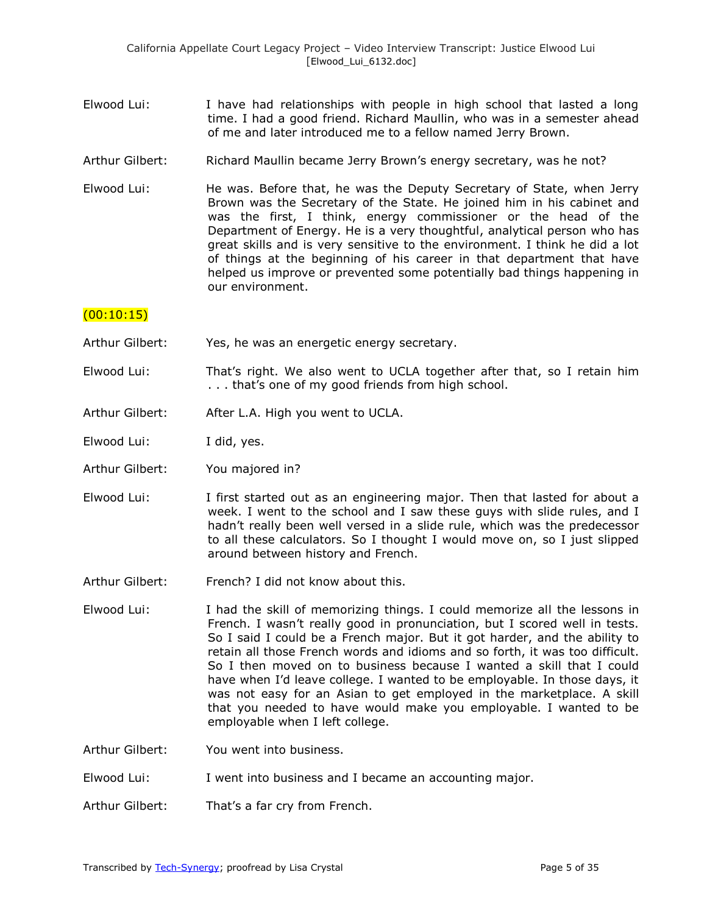- Elwood Lui: I have had relationships with people in high school that lasted a long time. I had a good friend. Richard Maullin, who was in a semester ahead of me and later introduced me to a fellow named Jerry Brown.
- Arthur Gilbert: Richard Maullin became Jerry Brown's energy secretary, was he not?
- Elwood Lui: He was. Before that, he was the Deputy Secretary of State, when Jerry Brown was the Secretary of the State. He joined him in his cabinet and was the first, I think, energy commissioner or the head of the Department of Energy. He is a very thoughtful, analytical person who has great skills and is very sensitive to the environment. I think he did a lot of things at the beginning of his career in that department that have helped us improve or prevented some potentially bad things happening in our environment.

### $(00:10:15)$

- Arthur Gilbert: Yes, he was an energetic energy secretary.
- Elwood Lui: That's right. We also went to UCLA together after that, so I retain him . . . that's one of my good friends from high school.
- Arthur Gilbert: After L.A. High you went to UCLA.

Elwood Lui: I did, yes.

- Arthur Gilbert: You majored in?
- Elwood Lui: I first started out as an engineering major. Then that lasted for about a week. I went to the school and I saw these guys with slide rules, and I hadn't really been well versed in a slide rule, which was the predecessor to all these calculators. So I thought I would move on, so I just slipped around between history and French.
- Arthur Gilbert: French? I did not know about this.
- Elwood Lui: I had the skill of memorizing things. I could memorize all the lessons in French. I wasn't really good in pronunciation, but I scored well in tests. So I said I could be a French major. But it got harder, and the ability to retain all those French words and idioms and so forth, it was too difficult. So I then moved on to business because I wanted a skill that I could have when I'd leave college. I wanted to be employable. In those days, it was not easy for an Asian to get employed in the marketplace. A skill that you needed to have would make you employable. I wanted to be employable when I left college.
- Arthur Gilbert: You went into business.
- Elwood Lui: I went into business and I became an accounting major.
- Arthur Gilbert: That's a far cry from French.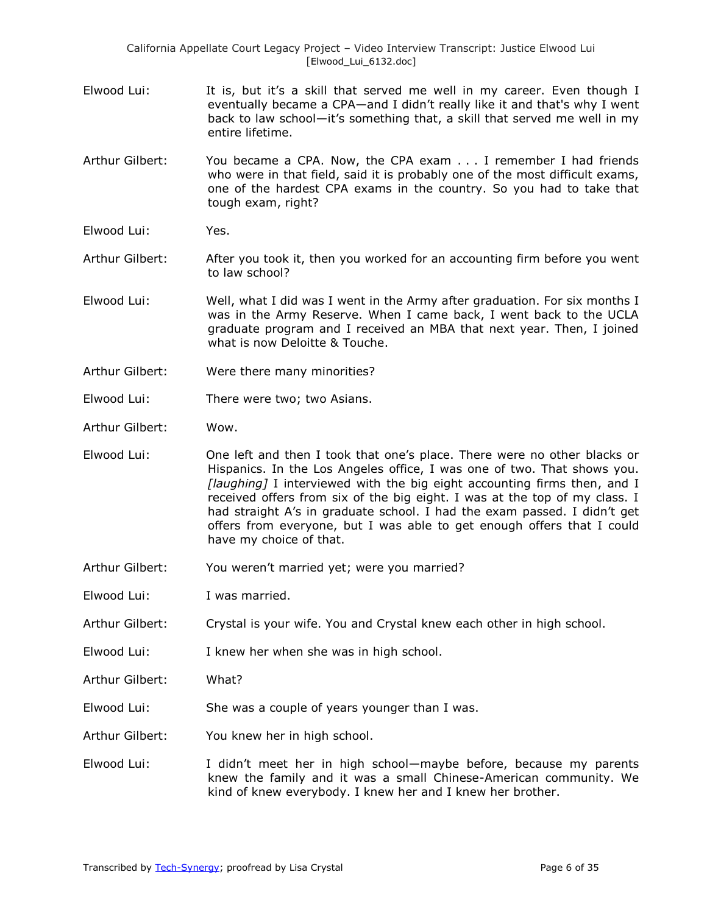California Appellate Court Legacy Project – Video Interview Transcript: Justice Elwood Lui [Elwood\_Lui\_6132.doc]

- Elwood Lui: It is, but it's a skill that served me well in my career. Even though I eventually became a CPA—and I didn't really like it and that's why I went back to law school—it's something that, a skill that served me well in my entire lifetime.
- Arthur Gilbert: You became a CPA. Now, the CPA exam . . . I remember I had friends who were in that field, said it is probably one of the most difficult exams, one of the hardest CPA exams in the country. So you had to take that tough exam, right?
- Elwood Lui: Yes.
- Arthur Gilbert: After you took it, then you worked for an accounting firm before you went to law school?
- Elwood Lui: Well, what I did was I went in the Army after graduation. For six months I was in the Army Reserve. When I came back, I went back to the UCLA graduate program and I received an MBA that next year. Then, I joined what is now Deloitte & Touche.
- Arthur Gilbert: Were there many minorities?
- Elwood Lui: There were two; two Asians.
- Arthur Gilbert: Wow.
- Elwood Lui: One left and then I took that one's place. There were no other blacks or Hispanics. In the Los Angeles office, I was one of two. That shows you. *[laughing]* I interviewed with the big eight accounting firms then, and I received offers from six of the big eight. I was at the top of my class. I had straight A's in graduate school. I had the exam passed. I didn't get offers from everyone, but I was able to get enough offers that I could have my choice of that.
- Arthur Gilbert: You weren't married yet; were you married?
- Elwood Lui: I was married.
- Arthur Gilbert: Crystal is your wife. You and Crystal knew each other in high school.
- Elwood Lui: I knew her when she was in high school.
- Arthur Gilbert: What?
- Elwood Lui: She was a couple of years younger than I was.
- Arthur Gilbert: You knew her in high school.
- Elwood Lui: I didn't meet her in high school—maybe before, because my parents knew the family and it was a small Chinese-American community. We kind of knew everybody. I knew her and I knew her brother.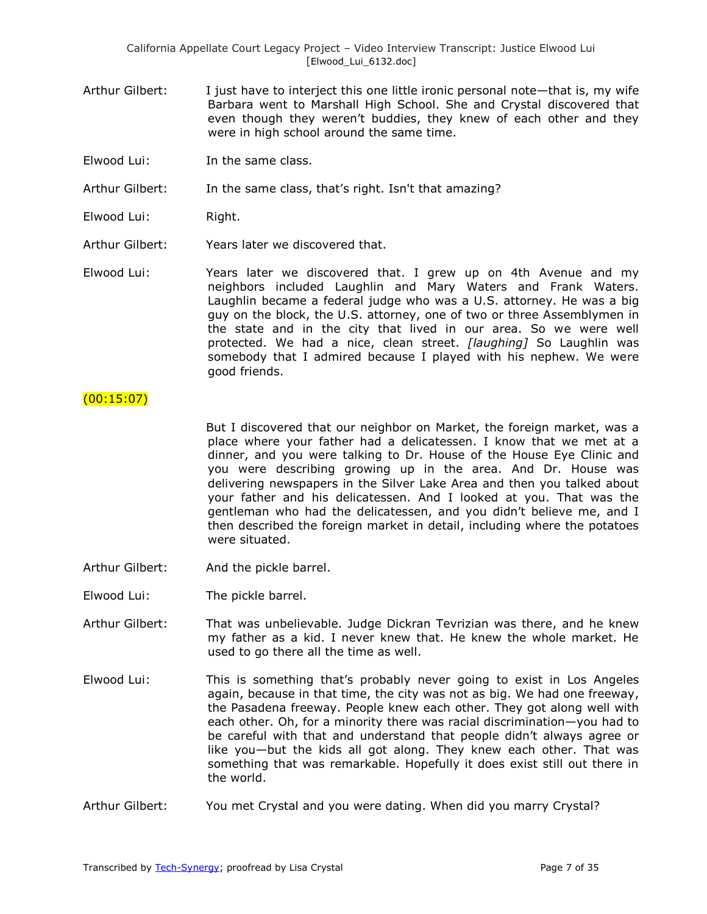- Arthur Gilbert: I just have to interject this one little ironic personal note—that is, my wife Barbara went to Marshall High School. She and Crystal discovered that even though they weren't buddies, they knew of each other and they were in high school around the same time.
- Elwood Lui: In the same class.

Arthur Gilbert: In the same class, that's right. Isn't that amazing?

- Elwood Lui: Right.
- Arthur Gilbert: Years later we discovered that.

Elwood Lui: Years later we discovered that. I grew up on 4th Avenue and my neighbors included Laughlin and Mary Waters and Frank Waters. Laughlin became a federal judge who was a U.S. attorney. He was a big guy on the block, the U.S. attorney, one of two or three Assemblymen in the state and in the city that lived in our area. So we were well protected. We had a nice, clean street. *[laughing]* So Laughlin was somebody that I admired because I played with his nephew. We were good friends.

### $(00:15:07)$

But I discovered that our neighbor on Market, the foreign market, was a place where your father had a delicatessen. I know that we met at a dinner, and you were talking to Dr. House of the House Eye Clinic and you were describing growing up in the area. And Dr. House was delivering newspapers in the Silver Lake Area and then you talked about your father and his delicatessen. And I looked at you. That was the gentleman who had the delicatessen, and you didn't believe me, and I then described the foreign market in detail, including where the potatoes were situated.

- Arthur Gilbert: And the pickle barrel.
- Elwood Lui: The pickle barrel.
- Arthur Gilbert: That was unbelievable. Judge Dickran Tevrizian was there, and he knew my father as a kid. I never knew that. He knew the whole market. He used to go there all the time as well.
- Elwood Lui: This is something that's probably never going to exist in Los Angeles again, because in that time, the city was not as big. We had one freeway, the Pasadena freeway. People knew each other. They got along well with each other. Oh, for a minority there was racial discrimination—you had to be careful with that and understand that people didn't always agree or like you—but the kids all got along. They knew each other. That was something that was remarkable. Hopefully it does exist still out there in the world.
- Arthur Gilbert: You met Crystal and you were dating. When did you marry Crystal?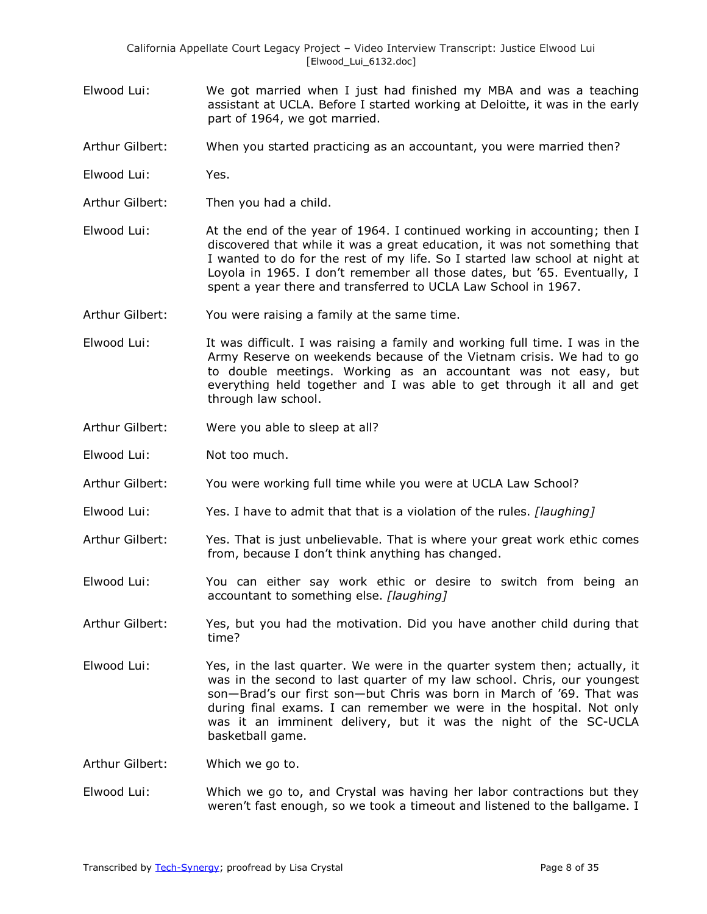- Elwood Lui: We got married when I just had finished my MBA and was a teaching assistant at UCLA. Before I started working at Deloitte, it was in the early part of 1964, we got married.
- Arthur Gilbert: When you started practicing as an accountant, you were married then?
- Elwood Lui: Yes.
- Arthur Gilbert: Then you had a child.
- Elwood Lui: At the end of the year of 1964. I continued working in accounting; then I discovered that while it was a great education, it was not something that I wanted to do for the rest of my life. So I started law school at night at Loyola in 1965. I don't remember all those dates, but '65. Eventually, I spent a year there and transferred to UCLA Law School in 1967.
- Arthur Gilbert: You were raising a family at the same time.
- Elwood Lui: It was difficult. I was raising a family and working full time. I was in the Army Reserve on weekends because of the Vietnam crisis. We had to go to double meetings. Working as an accountant was not easy, but everything held together and I was able to get through it all and get through law school.
- Arthur Gilbert: Were you able to sleep at all?
- Elwood Lui: Not too much.
- Arthur Gilbert: You were working full time while you were at UCLA Law School?
- Elwood Lui: Yes. I have to admit that that is a violation of the rules. *[laughing]*
- Arthur Gilbert: Yes. That is just unbelievable. That is where your great work ethic comes from, because I don't think anything has changed.
- Elwood Lui: You can either say work ethic or desire to switch from being an accountant to something else. *[laughing]*
- Arthur Gilbert: Yes, but you had the motivation. Did you have another child during that time?
- Elwood Lui: Yes, in the last quarter. We were in the quarter system then; actually, it was in the second to last quarter of my law school. Chris, our youngest son—Brad's our first son—but Chris was born in March of '69. That was during final exams. I can remember we were in the hospital. Not only was it an imminent delivery, but it was the night of the SC-UCLA basketball game.

Arthur Gilbert: Which we go to.

Elwood Lui: Which we go to, and Crystal was having her labor contractions but they weren't fast enough, so we took a timeout and listened to the ballgame. I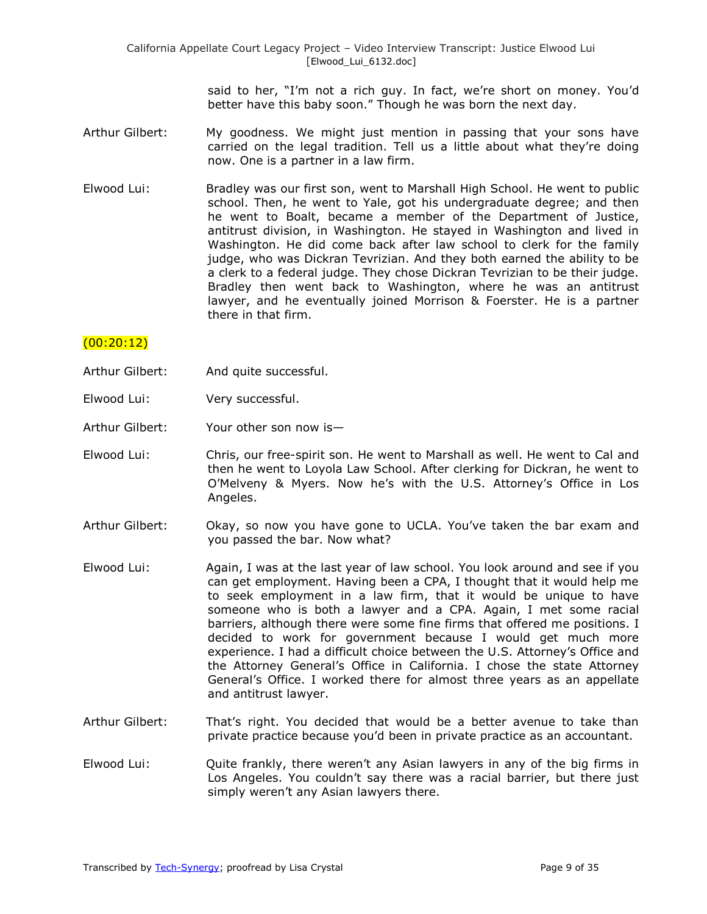said to her, "I'm not a rich guy. In fact, we're short on money. You'd better have this baby soon." Though he was born the next day.

- Arthur Gilbert: My goodness. We might just mention in passing that your sons have carried on the legal tradition. Tell us a little about what they're doing now. One is a partner in a law firm.
- Elwood Lui: Bradley was our first son, went to Marshall High School. He went to public school. Then, he went to Yale, got his undergraduate degree; and then he went to Boalt, became a member of the Department of Justice, antitrust division, in Washington. He stayed in Washington and lived in Washington. He did come back after law school to clerk for the family judge, who was Dickran Tevrizian. And they both earned the ability to be a clerk to a federal judge. They chose Dickran Tevrizian to be their judge. Bradley then went back to Washington, where he was an antitrust lawyer, and he eventually joined Morrison & Foerster. He is a partner there in that firm.

### $(00:20:12)$

- Arthur Gilbert: And quite successful.
- Elwood Lui: Very successful.
- Arthur Gilbert: Your other son now is—
- Elwood Lui: Chris, our free-spirit son. He went to Marshall as well. He went to Cal and then he went to Loyola Law School. After clerking for Dickran, he went to O'Melveny & Myers. Now he's with the U.S. Attorney's Office in Los Angeles.
- Arthur Gilbert: Okay, so now you have gone to UCLA. You've taken the bar exam and you passed the bar. Now what?
- Elwood Lui: Again, I was at the last year of law school. You look around and see if you can get employment. Having been a CPA, I thought that it would help me to seek employment in a law firm, that it would be unique to have someone who is both a lawyer and a CPA. Again, I met some racial barriers, although there were some fine firms that offered me positions. I decided to work for government because I would get much more experience. I had a difficult choice between the U.S. Attorney's Office and the Attorney General's Office in California. I chose the state Attorney General's Office. I worked there for almost three years as an appellate and antitrust lawyer.
- Arthur Gilbert: That's right. You decided that would be a better avenue to take than private practice because you'd been in private practice as an accountant.
- Elwood Lui: Quite frankly, there weren't any Asian lawyers in any of the big firms in Los Angeles. You couldn't say there was a racial barrier, but there just simply weren't any Asian lawyers there.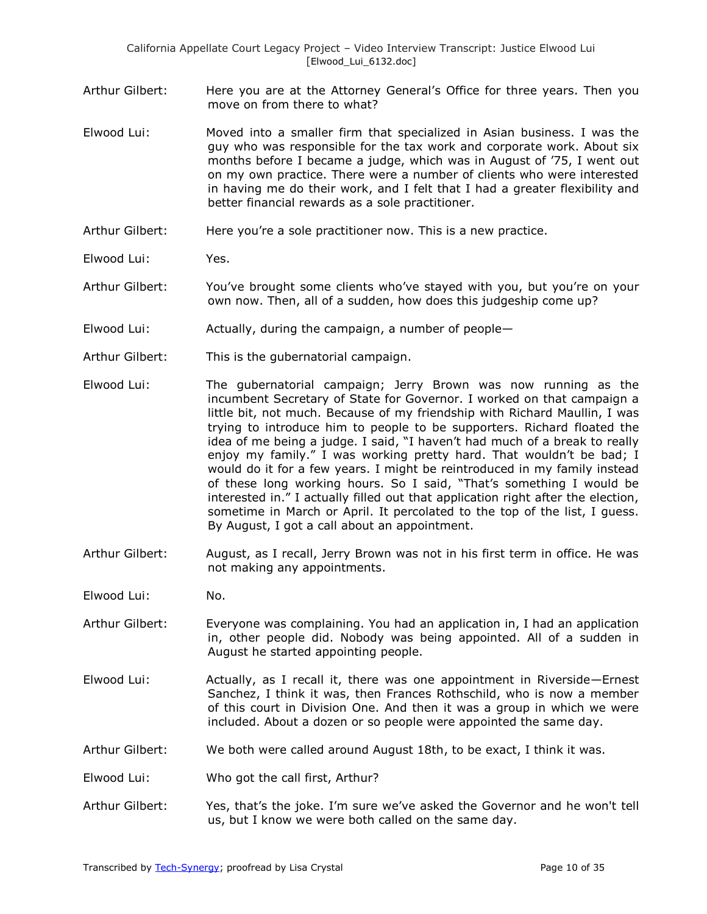- Arthur Gilbert: Here you are at the Attorney General's Office for three years. Then you move on from there to what?
- Elwood Lui: Moved into a smaller firm that specialized in Asian business. I was the guy who was responsible for the tax work and corporate work. About six months before I became a judge, which was in August of '75, I went out on my own practice. There were a number of clients who were interested in having me do their work, and I felt that I had a greater flexibility and better financial rewards as a sole practitioner.
- Arthur Gilbert: Here you're a sole practitioner now. This is a new practice.
- Elwood Lui: Yes.
- Arthur Gilbert: You've brought some clients who've stayed with you, but you're on your own now. Then, all of a sudden, how does this judgeship come up?
- Elwood Lui: Actually, during the campaign, a number of people—
- Arthur Gilbert: This is the gubernatorial campaign.
- Elwood Lui: The gubernatorial campaign; Jerry Brown was now running as the incumbent Secretary of State for Governor. I worked on that campaign a little bit, not much. Because of my friendship with Richard Maullin, I was trying to introduce him to people to be supporters. Richard floated the idea of me being a judge. I said, "I haven't had much of a break to really enjoy my family." I was working pretty hard. That wouldn't be bad; I would do it for a few years. I might be reintroduced in my family instead of these long working hours. So I said, "That's something I would be interested in." I actually filled out that application right after the election, sometime in March or April. It percolated to the top of the list, I guess. By August, I got a call about an appointment.
- Arthur Gilbert: August, as I recall, Jerry Brown was not in his first term in office. He was not making any appointments.
- Elwood Lui: No.
- Arthur Gilbert: Everyone was complaining. You had an application in, I had an application in, other people did. Nobody was being appointed. All of a sudden in August he started appointing people.
- Elwood Lui: Actually, as I recall it, there was one appointment in Riverside—Ernest Sanchez, I think it was, then Frances Rothschild, who is now a member of this court in Division One. And then it was a group in which we were included. About a dozen or so people were appointed the same day.
- Arthur Gilbert: We both were called around August 18th, to be exact, I think it was.
- Elwood Lui: Who got the call first, Arthur?
- Arthur Gilbert: Yes, that's the joke. I'm sure we've asked the Governor and he won't tell us, but I know we were both called on the same day.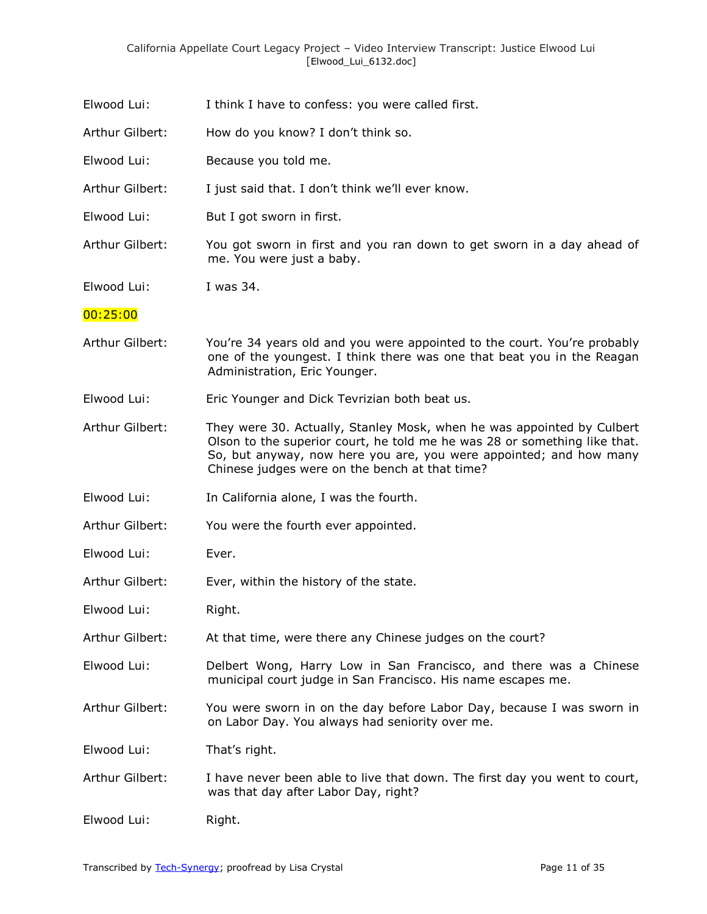| Elwood Lui:     | I think I have to confess: you were called first.                                                                                                                                                                                                                           |
|-----------------|-----------------------------------------------------------------------------------------------------------------------------------------------------------------------------------------------------------------------------------------------------------------------------|
| Arthur Gilbert: | How do you know? I don't think so.                                                                                                                                                                                                                                          |
| Elwood Lui:     | Because you told me.                                                                                                                                                                                                                                                        |
| Arthur Gilbert: | I just said that. I don't think we'll ever know.                                                                                                                                                                                                                            |
| Elwood Lui:     | But I got sworn in first.                                                                                                                                                                                                                                                   |
| Arthur Gilbert: | You got sworn in first and you ran down to get sworn in a day ahead of<br>me. You were just a baby.                                                                                                                                                                         |
| Elwood Lui:     | I was 34.                                                                                                                                                                                                                                                                   |
| 00:25:00        |                                                                                                                                                                                                                                                                             |
| Arthur Gilbert: | You're 34 years old and you were appointed to the court. You're probably<br>one of the youngest. I think there was one that beat you in the Reagan<br>Administration, Eric Younger.                                                                                         |
| Elwood Lui:     | Eric Younger and Dick Tevrizian both beat us.                                                                                                                                                                                                                               |
| Arthur Gilbert: | They were 30. Actually, Stanley Mosk, when he was appointed by Culbert<br>Olson to the superior court, he told me he was 28 or something like that.<br>So, but anyway, now here you are, you were appointed; and how many<br>Chinese judges were on the bench at that time? |
| Elwood Lui:     | In California alone, I was the fourth.                                                                                                                                                                                                                                      |
| Arthur Gilbert: | You were the fourth ever appointed.                                                                                                                                                                                                                                         |
| Elwood Lui:     | Ever.                                                                                                                                                                                                                                                                       |
| Arthur Gilbert: | Ever, within the history of the state.                                                                                                                                                                                                                                      |
| Elwood Lui:     | Right.                                                                                                                                                                                                                                                                      |
| Arthur Gilbert: | At that time, were there any Chinese judges on the court?                                                                                                                                                                                                                   |
| Elwood Lui:     | Delbert Wong, Harry Low in San Francisco, and there was a Chinese<br>municipal court judge in San Francisco. His name escapes me.                                                                                                                                           |
| Arthur Gilbert: | You were sworn in on the day before Labor Day, because I was sworn in<br>on Labor Day. You always had seniority over me.                                                                                                                                                    |
| Elwood Lui:     | That's right.                                                                                                                                                                                                                                                               |
| Arthur Gilbert: | I have never been able to live that down. The first day you went to court,<br>was that day after Labor Day, right?                                                                                                                                                          |
| Elwood Lui:     | Right.                                                                                                                                                                                                                                                                      |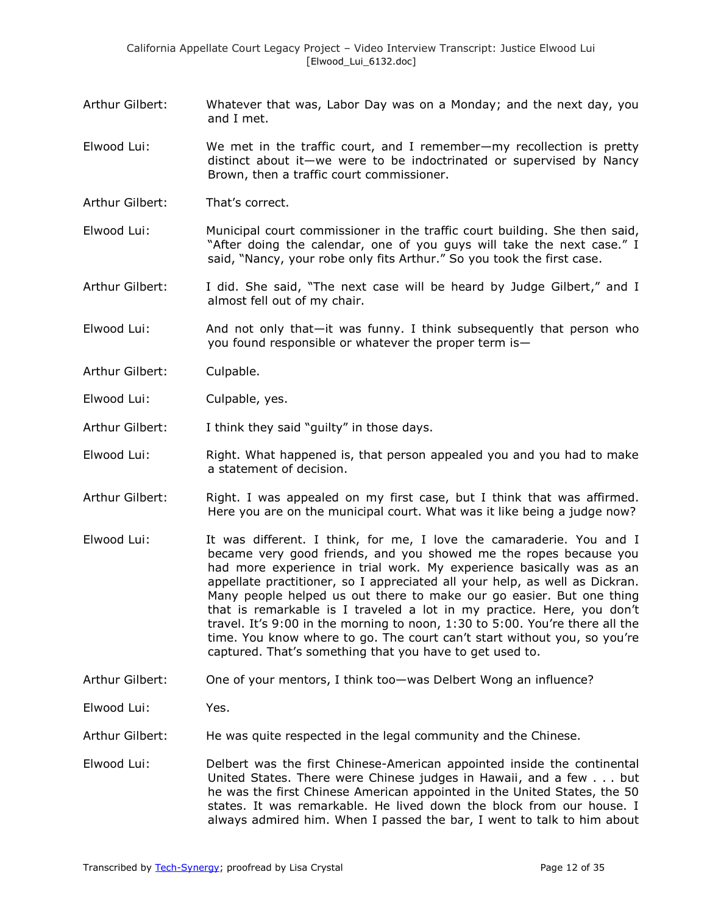- Arthur Gilbert: Whatever that was, Labor Day was on a Monday; and the next day, you and I met.
- Elwood Lui: We met in the traffic court, and I remember—my recollection is pretty distinct about it—we were to be indoctrinated or supervised by Nancy Brown, then a traffic court commissioner.
- Arthur Gilbert: That's correct.
- Elwood Lui: Municipal court commissioner in the traffic court building. She then said, "After doing the calendar, one of you guys will take the next case." I said, "Nancy, your robe only fits Arthur." So you took the first case.
- Arthur Gilbert: I did. She said, "The next case will be heard by Judge Gilbert," and I almost fell out of my chair.
- Elwood Lui: And not only that—it was funny. I think subsequently that person who you found responsible or whatever the proper term is—
- Arthur Gilbert: Culpable.
- Elwood Lui: Culpable, yes.
- Arthur Gilbert: I think they said "quilty" in those days.
- Elwood Lui: Right. What happened is, that person appealed you and you had to make a statement of decision.
- Arthur Gilbert: Right. I was appealed on my first case, but I think that was affirmed. Here you are on the municipal court. What was it like being a judge now?
- Elwood Lui: It was different. I think, for me, I love the camaraderie. You and I became very good friends, and you showed me the ropes because you had more experience in trial work. My experience basically was as an appellate practitioner, so I appreciated all your help, as well as Dickran. Many people helped us out there to make our go easier. But one thing that is remarkable is I traveled a lot in my practice. Here, you don't travel. It's 9:00 in the morning to noon, 1:30 to 5:00. You're there all the time. You know where to go. The court can't start without you, so you're captured. That's something that you have to get used to.
- Arthur Gilbert: One of your mentors, I think too—was Delbert Wong an influence?
- Elwood Lui: Yes.
- Arthur Gilbert: He was quite respected in the legal community and the Chinese.
- Elwood Lui: Delbert was the first Chinese-American appointed inside the continental United States. There were Chinese judges in Hawaii, and a few . . . but he was the first Chinese American appointed in the United States, the 50 states. It was remarkable. He lived down the block from our house. I always admired him. When I passed the bar, I went to talk to him about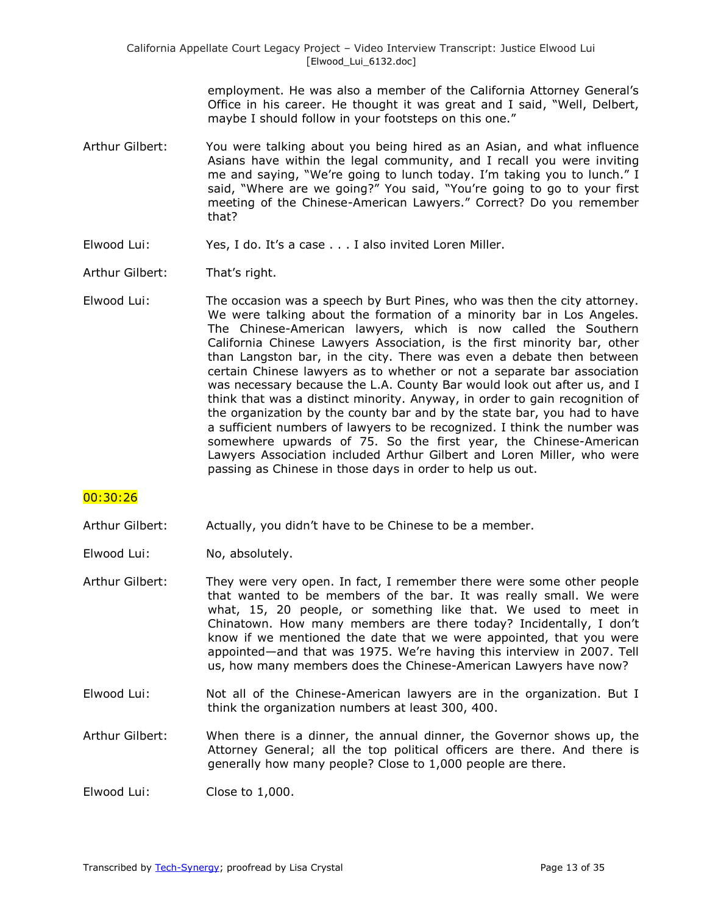employment. He was also a member of the California Attorney General's Office in his career. He thought it was great and I said, "Well, Delbert, maybe I should follow in your footsteps on this one."

- Arthur Gilbert: You were talking about you being hired as an Asian, and what influence Asians have within the legal community, and I recall you were inviting me and saying, "We're going to lunch today. I'm taking you to lunch." I said, "Where are we going?" You said, "You're going to go to your first meeting of the Chinese-American Lawyers." Correct? Do you remember that?
- Elwood Lui: Yes, I do. It's a case . . . I also invited Loren Miller.
- Arthur Gilbert: That's right.
- Elwood Lui: The occasion was a speech by Burt Pines, who was then the city attorney. We were talking about the formation of a minority bar in Los Angeles. The Chinese-American lawyers, which is now called the Southern California Chinese Lawyers Association, is the first minority bar, other than Langston bar, in the city. There was even a debate then between certain Chinese lawyers as to whether or not a separate bar association was necessary because the L.A. County Bar would look out after us, and I think that was a distinct minority. Anyway, in order to gain recognition of the organization by the county bar and by the state bar, you had to have a sufficient numbers of lawyers to be recognized. I think the number was somewhere upwards of 75. So the first year, the Chinese-American Lawyers Association included Arthur Gilbert and Loren Miller, who were passing as Chinese in those days in order to help us out.

### 00:30:26

- Arthur Gilbert: Actually, you didn't have to be Chinese to be a member.
- Elwood Lui: No, absolutely.
- Arthur Gilbert: They were very open. In fact, I remember there were some other people that wanted to be members of the bar. It was really small. We were what, 15, 20 people, or something like that. We used to meet in Chinatown. How many members are there today? Incidentally, I don't know if we mentioned the date that we were appointed, that you were appointed—and that was 1975. We're having this interview in 2007. Tell us, how many members does the Chinese-American Lawyers have now?
- Elwood Lui: Not all of the Chinese-American lawyers are in the organization. But I think the organization numbers at least 300, 400.
- Arthur Gilbert: When there is a dinner, the annual dinner, the Governor shows up, the Attorney General; all the top political officers are there. And there is generally how many people? Close to 1,000 people are there.
- Elwood Lui: Close to 1,000.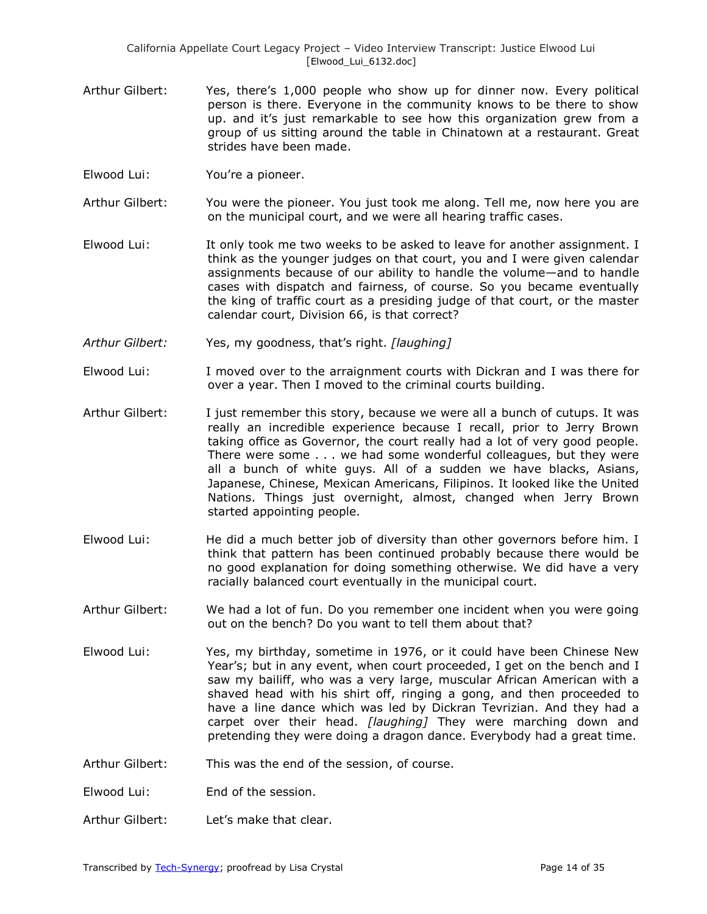- Arthur Gilbert: Yes, there's 1,000 people who show up for dinner now. Every political person is there. Everyone in the community knows to be there to show up. and it's just remarkable to see how this organization grew from a group of us sitting around the table in Chinatown at a restaurant. Great strides have been made.
- Elwood Lui: You're a pioneer.
- Arthur Gilbert: You were the pioneer. You just took me along. Tell me, now here you are on the municipal court, and we were all hearing traffic cases.
- Elwood Lui: It only took me two weeks to be asked to leave for another assignment. I think as the younger judges on that court, you and I were given calendar assignments because of our ability to handle the volume—and to handle cases with dispatch and fairness, of course. So you became eventually the king of traffic court as a presiding judge of that court, or the master calendar court, Division 66, is that correct?
- *Arthur Gilbert:* Yes, my goodness, that's right. *[laughing]*
- Elwood Lui: I moved over to the arraignment courts with Dickran and I was there for over a year. Then I moved to the criminal courts building.
- Arthur Gilbert: I just remember this story, because we were all a bunch of cutups. It was really an incredible experience because I recall, prior to Jerry Brown taking office as Governor, the court really had a lot of very good people. There were some . . . we had some wonderful colleagues, but they were all a bunch of white guys. All of a sudden we have blacks, Asians, Japanese, Chinese, Mexican Americans, Filipinos. It looked like the United Nations. Things just overnight, almost, changed when Jerry Brown started appointing people.
- Elwood Lui: He did a much better job of diversity than other governors before him. I think that pattern has been continued probably because there would be no good explanation for doing something otherwise. We did have a very racially balanced court eventually in the municipal court.
- Arthur Gilbert: We had a lot of fun. Do you remember one incident when you were going out on the bench? Do you want to tell them about that?
- Elwood Lui: Yes, my birthday, sometime in 1976, or it could have been Chinese New Year's; but in any event, when court proceeded, I get on the bench and I saw my bailiff, who was a very large, muscular African American with a shaved head with his shirt off, ringing a gong, and then proceeded to have a line dance which was led by Dickran Tevrizian. And they had a carpet over their head. *[laughing]* They were marching down and pretending they were doing a dragon dance. Everybody had a great time.
- Arthur Gilbert: This was the end of the session, of course.
- Elwood Lui: End of the session.
- Arthur Gilbert: Let's make that clear.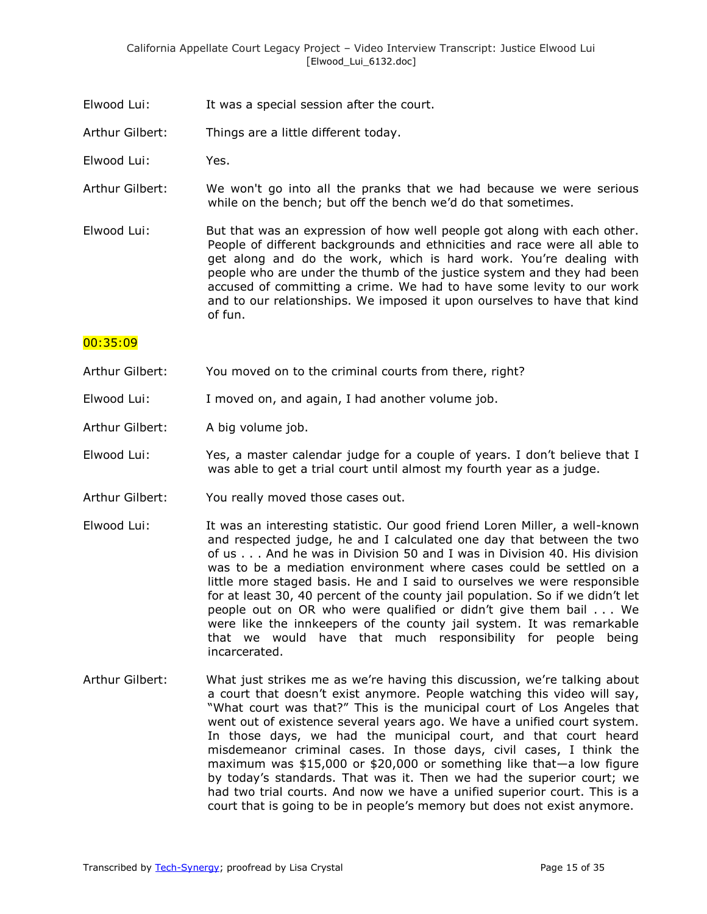- Elwood Lui: It was a special session after the court.
- Arthur Gilbert: Things are a little different today.
- Elwood Lui: Yes.
- Arthur Gilbert: We won't go into all the pranks that we had because we were serious while on the bench; but off the bench we'd do that sometimes.
- Elwood Lui: But that was an expression of how well people got along with each other. People of different backgrounds and ethnicities and race were all able to get along and do the work, which is hard work. You're dealing with people who are under the thumb of the justice system and they had been accused of committing a crime. We had to have some levity to our work and to our relationships. We imposed it upon ourselves to have that kind of fun.

#### 00:35:09

- Arthur Gilbert: You moved on to the criminal courts from there, right?
- Elwood Lui: I moved on, and again, I had another volume job.
- Arthur Gilbert: A big volume job.
- Elwood Lui: Yes, a master calendar judge for a couple of years. I don't believe that I was able to get a trial court until almost my fourth year as a judge.
- Arthur Gilbert: You really moved those cases out.
- Elwood Lui: It was an interesting statistic. Our good friend Loren Miller, a well-known and respected judge, he and I calculated one day that between the two of us . . . And he was in Division 50 and I was in Division 40. His division was to be a mediation environment where cases could be settled on a little more staged basis. He and I said to ourselves we were responsible for at least 30, 40 percent of the county jail population. So if we didn't let people out on OR who were qualified or didn't give them bail . . . We were like the innkeepers of the county jail system. It was remarkable that we would have that much responsibility for people being incarcerated.
- Arthur Gilbert: What just strikes me as we're having this discussion, we're talking about a court that doesn't exist anymore. People watching this video will say, "What court was that?" This is the municipal court of Los Angeles that went out of existence several years ago. We have a unified court system. In those days, we had the municipal court, and that court heard misdemeanor criminal cases. In those days, civil cases, I think the maximum was \$15,000 or \$20,000 or something like that—a low figure by today's standards. That was it. Then we had the superior court; we had two trial courts. And now we have a unified superior court. This is a court that is going to be in people's memory but does not exist anymore.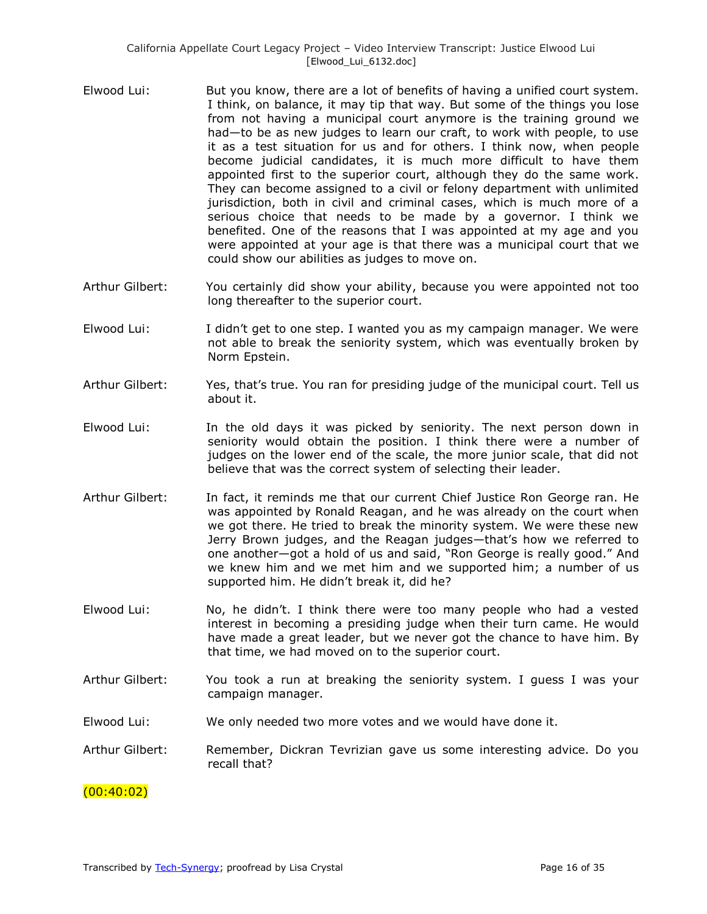- Elwood Lui: But you know, there are a lot of benefits of having a unified court system. I think, on balance, it may tip that way. But some of the things you lose from not having a municipal court anymore is the training ground we had—to be as new judges to learn our craft, to work with people, to use it as a test situation for us and for others. I think now, when people become judicial candidates, it is much more difficult to have them appointed first to the superior court, although they do the same work. They can become assigned to a civil or felony department with unlimited jurisdiction, both in civil and criminal cases, which is much more of a serious choice that needs to be made by a governor. I think we benefited. One of the reasons that I was appointed at my age and you were appointed at your age is that there was a municipal court that we could show our abilities as judges to move on.
- Arthur Gilbert: You certainly did show your ability, because you were appointed not too long thereafter to the superior court.
- Elwood Lui: I didn't get to one step. I wanted you as my campaign manager. We were not able to break the seniority system, which was eventually broken by Norm Epstein.
- Arthur Gilbert: Yes, that's true. You ran for presiding judge of the municipal court. Tell us about it.
- Elwood Lui: In the old days it was picked by seniority. The next person down in seniority would obtain the position. I think there were a number of judges on the lower end of the scale, the more junior scale, that did not believe that was the correct system of selecting their leader.
- Arthur Gilbert: In fact, it reminds me that our current Chief Justice Ron George ran. He was appointed by Ronald Reagan, and he was already on the court when we got there. He tried to break the minority system. We were these new Jerry Brown judges, and the Reagan judges—that's how we referred to one another—got a hold of us and said, "Ron George is really good." And we knew him and we met him and we supported him; a number of us supported him. He didn't break it, did he?
- Elwood Lui: No, he didn't. I think there were too many people who had a vested interest in becoming a presiding judge when their turn came. He would have made a great leader, but we never got the chance to have him. By that time, we had moved on to the superior court.
- Arthur Gilbert: You took a run at breaking the seniority system. I guess I was your campaign manager.
- Elwood Lui: We only needed two more votes and we would have done it.
- Arthur Gilbert: Remember, Dickran Tevrizian gave us some interesting advice. Do you recall that?

### $(00:40:02)$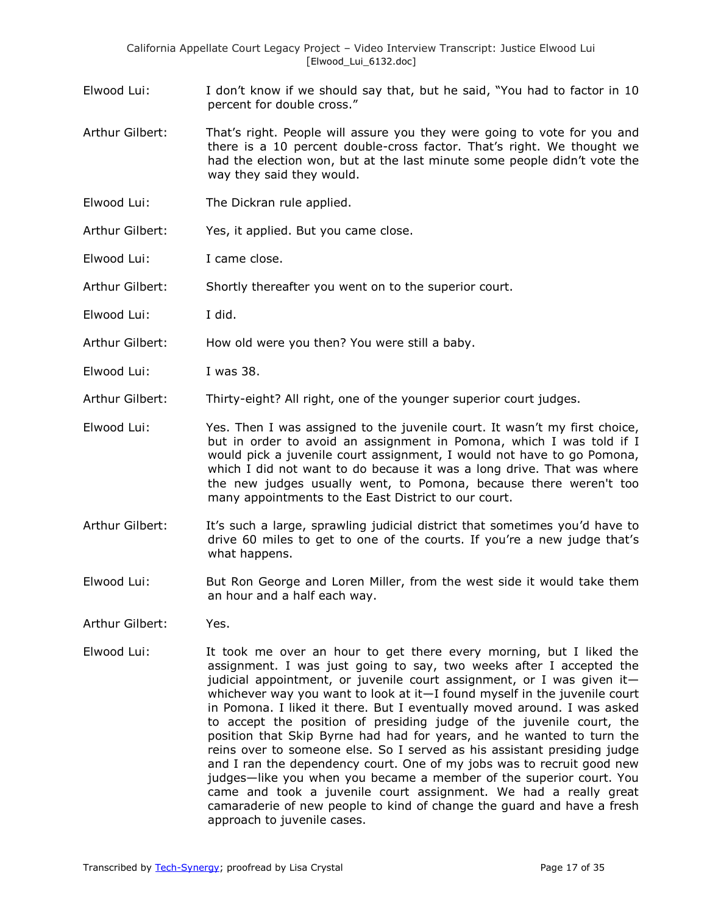- Elwood Lui: I don't know if we should say that, but he said, "You had to factor in 10 percent for double cross."
- Arthur Gilbert: That's right. People will assure you they were going to vote for you and there is a 10 percent double-cross factor. That's right. We thought we had the election won, but at the last minute some people didn't vote the way they said they would.
- Elwood Lui: The Dickran rule applied.
- Arthur Gilbert: Yes, it applied. But you came close.
- Elwood Lui: I came close.

Arthur Gilbert: Shortly thereafter you went on to the superior court.

Elwood Lui: I did.

Arthur Gilbert: How old were you then? You were still a baby.

- Elwood Lui: I was 38.
- Arthur Gilbert: Thirty-eight? All right, one of the younger superior court judges.
- Elwood Lui: Yes. Then I was assigned to the juvenile court. It wasn't my first choice, but in order to avoid an assignment in Pomona, which I was told if I would pick a juvenile court assignment, I would not have to go Pomona, which I did not want to do because it was a long drive. That was where the new judges usually went, to Pomona, because there weren't too many appointments to the East District to our court.
- Arthur Gilbert: It's such a large, sprawling judicial district that sometimes you'd have to drive 60 miles to get to one of the courts. If you're a new judge that's what happens.
- Elwood Lui: But Ron George and Loren Miller, from the west side it would take them an hour and a half each way.
- Arthur Gilbert: Yes.
- Elwood Lui: It took me over an hour to get there every morning, but I liked the assignment. I was just going to say, two weeks after I accepted the judicial appointment, or juvenile court assignment, or I was given it whichever way you want to look at it—I found myself in the juvenile court in Pomona. I liked it there. But I eventually moved around. I was asked to accept the position of presiding judge of the juvenile court, the position that Skip Byrne had had for years, and he wanted to turn the reins over to someone else. So I served as his assistant presiding judge and I ran the dependency court. One of my jobs was to recruit good new judges—like you when you became a member of the superior court. You came and took a juvenile court assignment. We had a really great camaraderie of new people to kind of change the guard and have a fresh approach to juvenile cases.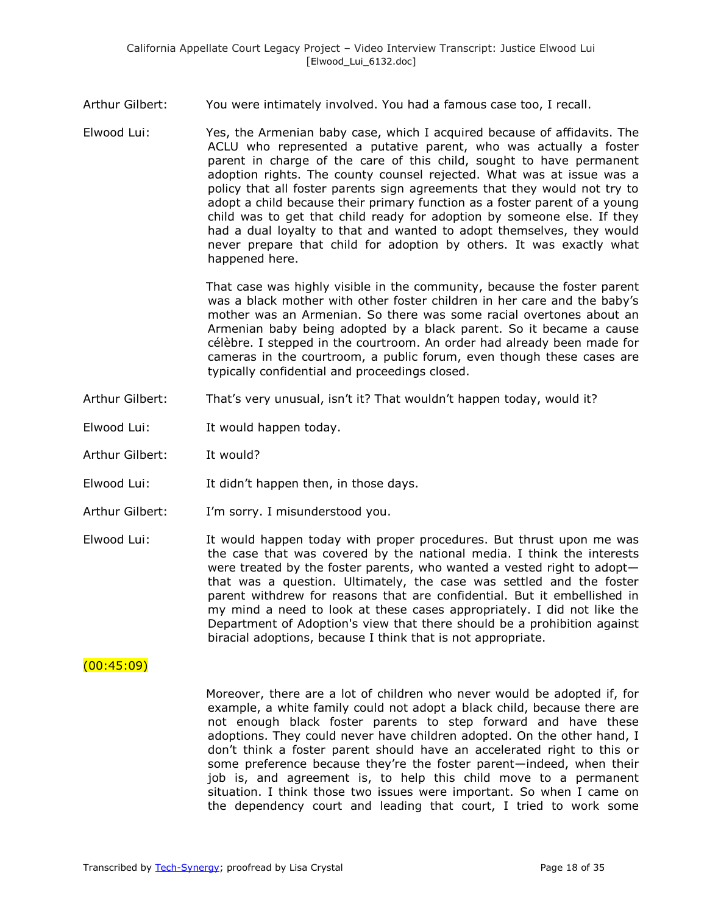Arthur Gilbert: You were intimately involved. You had a famous case too, I recall.

Elwood Lui: Yes, the Armenian baby case, which I acquired because of affidavits. The ACLU who represented a putative parent, who was actually a foster parent in charge of the care of this child, sought to have permanent adoption rights. The county counsel rejected. What was at issue was a policy that all foster parents sign agreements that they would not try to adopt a child because their primary function as a foster parent of a young child was to get that child ready for adoption by someone else. If they had a dual loyalty to that and wanted to adopt themselves, they would never prepare that child for adoption by others. It was exactly what happened here.

> That case was highly visible in the community, because the foster parent was a black mother with other foster children in her care and the baby's mother was an Armenian. So there was some racial overtones about an Armenian baby being adopted by a black parent. So it became a cause célèbre. I stepped in the courtroom. An order had already been made for cameras in the courtroom, a public forum, even though these cases are typically confidential and proceedings closed.

- Arthur Gilbert: That's very unusual, isn't it? That wouldn't happen today, would it?
- Elwood Lui: It would happen today.
- Arthur Gilbert: It would?
- Elwood Lui: It didn't happen then, in those days.
- Arthur Gilbert: I'm sorry. I misunderstood you.
- Elwood Lui: It would happen today with proper procedures. But thrust upon me was the case that was covered by the national media. I think the interests were treated by the foster parents, who wanted a vested right to adopt that was a question. Ultimately, the case was settled and the foster parent withdrew for reasons that are confidential. But it embellished in my mind a need to look at these cases appropriately. I did not like the Department of Adoption's view that there should be a prohibition against biracial adoptions, because I think that is not appropriate.

### $(00:45:09)$

Moreover, there are a lot of children who never would be adopted if, for example, a white family could not adopt a black child, because there are not enough black foster parents to step forward and have these adoptions. They could never have children adopted. On the other hand, I don't think a foster parent should have an accelerated right to this or some preference because they're the foster parent—indeed, when their job is, and agreement is, to help this child move to a permanent situation. I think those two issues were important. So when I came on the dependency court and leading that court, I tried to work some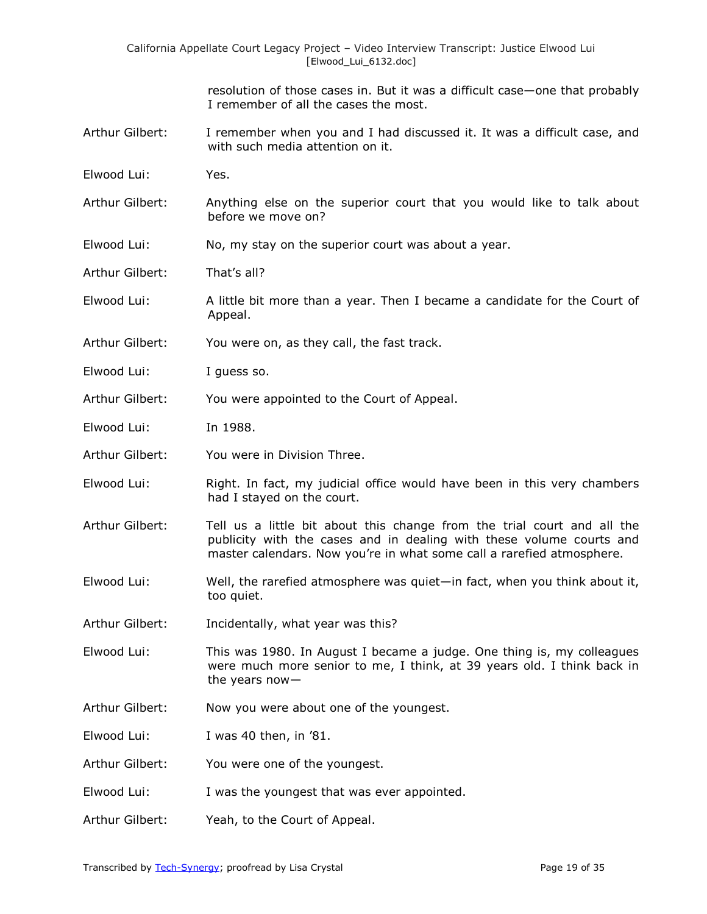resolution of those cases in. But it was a difficult case—one that probably I remember of all the cases the most.

- Arthur Gilbert: I remember when you and I had discussed it. It was a difficult case, and with such media attention on it.
- Elwood Lui: Yes.
- Arthur Gilbert: Anything else on the superior court that you would like to talk about before we move on?
- Elwood Lui: No, my stay on the superior court was about a year.

Arthur Gilbert: That's all?

Elwood Lui: A little bit more than a year. Then I became a candidate for the Court of Appeal.

- Arthur Gilbert: You were on, as they call, the fast track.
- Elwood Lui: I guess so.
- Arthur Gilbert: You were appointed to the Court of Appeal.
- Elwood Lui: In 1988.
- Arthur Gilbert: You were in Division Three.
- Elwood Lui: Right. In fact, my judicial office would have been in this very chambers had I stayed on the court.
- Arthur Gilbert: Tell us a little bit about this change from the trial court and all the publicity with the cases and in dealing with these volume courts and master calendars. Now you're in what some call a rarefied atmosphere.
- Elwood Lui: Well, the rarefied atmosphere was quiet—in fact, when you think about it, too quiet.
- Arthur Gilbert: Incidentally, what year was this?
- Elwood Lui: This was 1980. In August I became a judge. One thing is, my colleagues were much more senior to me, I think, at 39 years old. I think back in the years now—
- Arthur Gilbert: Now you were about one of the youngest.
- Elwood Lui: I was 40 then, in '81.
- Arthur Gilbert: You were one of the youngest.
- Elwood Lui: I was the youngest that was ever appointed.
- Arthur Gilbert: Yeah, to the Court of Appeal.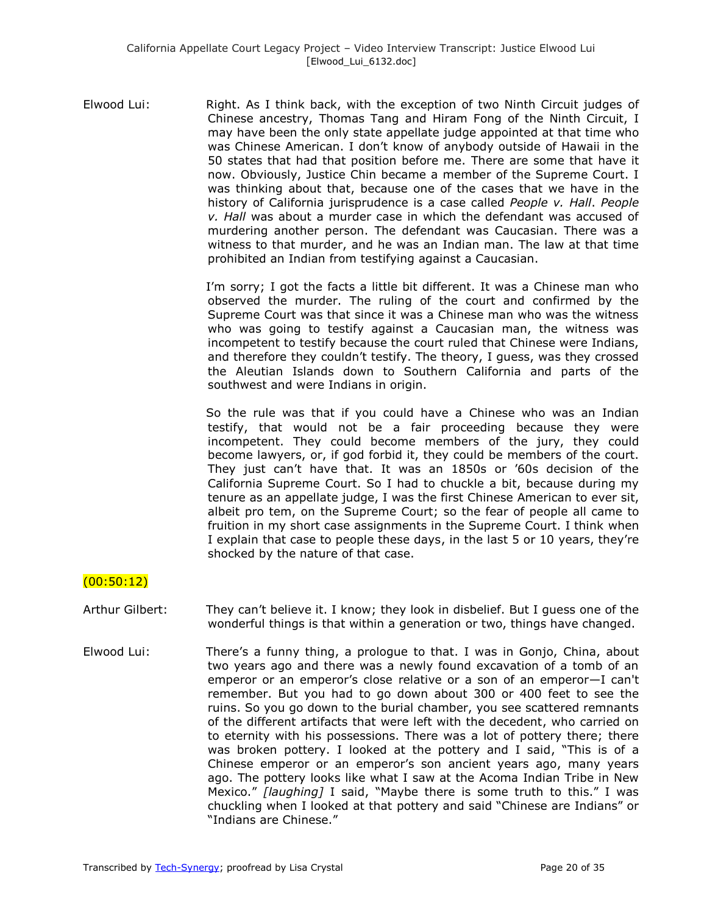Elwood Lui: Right. As I think back, with the exception of two Ninth Circuit judges of Chinese ancestry, Thomas Tang and Hiram Fong of the Ninth Circuit, I may have been the only state appellate judge appointed at that time who was Chinese American. I don't know of anybody outside of Hawaii in the 50 states that had that position before me. There are some that have it now. Obviously, Justice Chin became a member of the Supreme Court. I was thinking about that, because one of the cases that we have in the history of California jurisprudence is a case called *People v. Hall*. *People v. Hall* was about a murder case in which the defendant was accused of murdering another person. The defendant was Caucasian. There was a witness to that murder, and he was an Indian man. The law at that time prohibited an Indian from testifying against a Caucasian.

> I'm sorry; I got the facts a little bit different. It was a Chinese man who observed the murder. The ruling of the court and confirmed by the Supreme Court was that since it was a Chinese man who was the witness who was going to testify against a Caucasian man, the witness was incompetent to testify because the court ruled that Chinese were Indians, and therefore they couldn't testify. The theory, I guess, was they crossed the Aleutian Islands down to Southern California and parts of the southwest and were Indians in origin.

> So the rule was that if you could have a Chinese who was an Indian testify, that would not be a fair proceeding because they were incompetent. They could become members of the jury, they could become lawyers, or, if god forbid it, they could be members of the court. They just can't have that. It was an 1850s or '60s decision of the California Supreme Court. So I had to chuckle a bit, because during my tenure as an appellate judge, I was the first Chinese American to ever sit, albeit pro tem, on the Supreme Court; so the fear of people all came to fruition in my short case assignments in the Supreme Court. I think when I explain that case to people these days, in the last 5 or 10 years, they're shocked by the nature of that case.

# (00:50:12)

- Arthur Gilbert: They can't believe it. I know; they look in disbelief. But I guess one of the wonderful things is that within a generation or two, things have changed.
- Elwood Lui: There's a funny thing, a prologue to that. I was in Gonjo, China, about two years ago and there was a newly found excavation of a tomb of an emperor or an emperor's close relative or a son of an emperor—I can't remember. But you had to go down about 300 or 400 feet to see the ruins. So you go down to the burial chamber, you see scattered remnants of the different artifacts that were left with the decedent, who carried on to eternity with his possessions. There was a lot of pottery there; there was broken pottery. I looked at the pottery and I said, "This is of a Chinese emperor or an emperor's son ancient years ago, many years ago. The pottery looks like what I saw at the Acoma Indian Tribe in New Mexico." [laughing] I said, "Maybe there is some truth to this." I was chuckling when I looked at that pottery and said "Chinese are Indians" or "Indians are Chinese."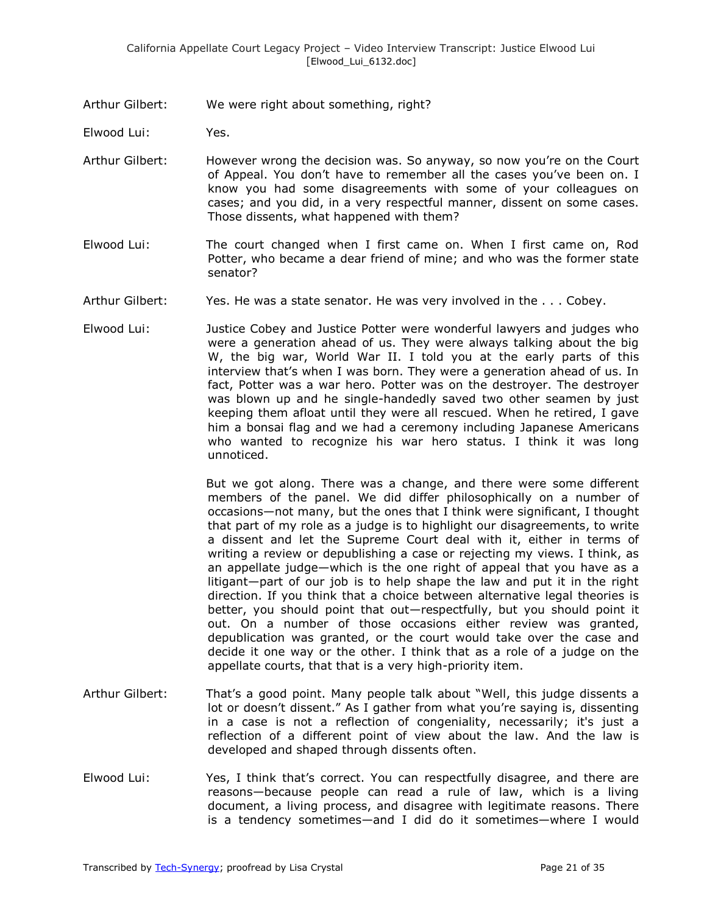Arthur Gilbert: We were right about something, right?

Elwood Lui: Yes.

- Arthur Gilbert: However wrong the decision was. So anyway, so now you're on the Court of Appeal. You don't have to remember all the cases you've been on. I know you had some disagreements with some of your colleagues on cases; and you did, in a very respectful manner, dissent on some cases. Those dissents, what happened with them?
- Elwood Lui: The court changed when I first came on. When I first came on, Rod Potter, who became a dear friend of mine; and who was the former state senator?
- Arthur Gilbert: Yes. He was a state senator. He was very involved in the . . . Cobey.
- Elwood Lui: Justice Cobey and Justice Potter were wonderful lawyers and judges who were a generation ahead of us. They were always talking about the big W, the big war, World War II. I told you at the early parts of this interview that's when I was born. They were a generation ahead of us. In fact, Potter was a war hero. Potter was on the destroyer. The destroyer was blown up and he single-handedly saved two other seamen by just keeping them afloat until they were all rescued. When he retired, I gave him a bonsai flag and we had a ceremony including Japanese Americans who wanted to recognize his war hero status. I think it was long unnoticed.

But we got along. There was a change, and there were some different members of the panel. We did differ philosophically on a number of occasions—not many, but the ones that I think were significant, I thought that part of my role as a judge is to highlight our disagreements, to write a dissent and let the Supreme Court deal with it, either in terms of writing a review or depublishing a case or rejecting my views. I think, as an appellate judge—which is the one right of appeal that you have as a litigant—part of our job is to help shape the law and put it in the right direction. If you think that a choice between alternative legal theories is better, you should point that out—respectfully, but you should point it out. On a number of those occasions either review was granted, depublication was granted, or the court would take over the case and decide it one way or the other. I think that as a role of a judge on the appellate courts, that that is a very high-priority item.

- Arthur Gilbert: That's a good point. Many people talk about "Well, this judge dissents a lot or doesn't dissent." As I gather from what you're saying is, dissenting in a case is not a reflection of congeniality, necessarily; it's just a reflection of a different point of view about the law. And the law is developed and shaped through dissents often.
- Elwood Lui: Yes, I think that's correct. You can respectfully disagree, and there are reasons—because people can read a rule of law, which is a living document, a living process, and disagree with legitimate reasons. There is a tendency sometimes—and I did do it sometimes—where I would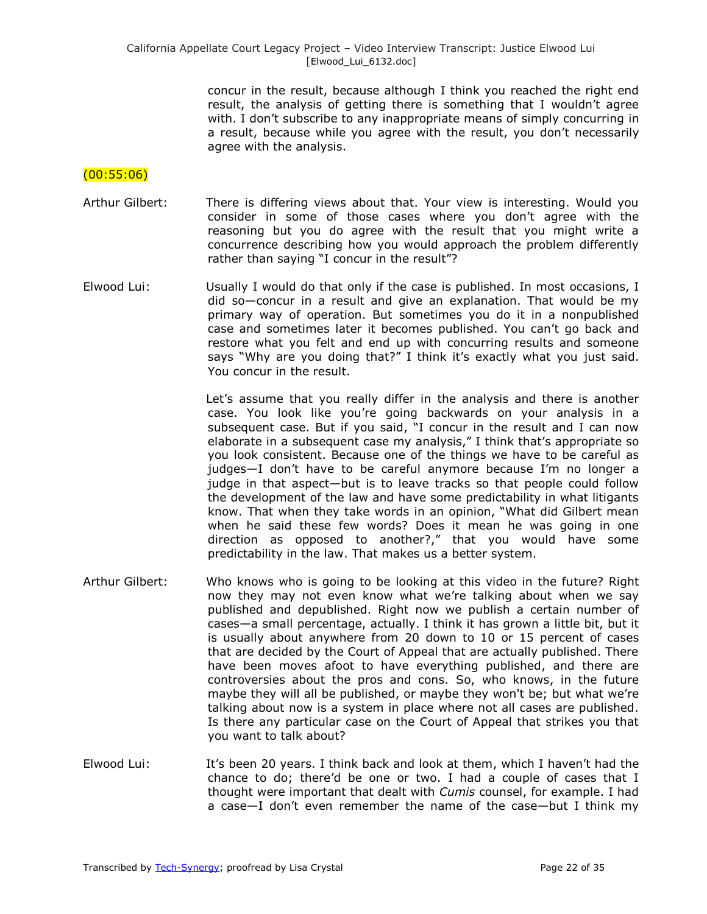concur in the result, because although I think you reached the right end result, the analysis of getting there is something that I wouldn't agree with. I don't subscribe to any inappropriate means of simply concurring in a result, because while you agree with the result, you don't necessarily agree with the analysis.

## (00:55:06)

- Arthur Gilbert: There is differing views about that. Your view is interesting. Would you consider in some of those cases where you don't agree with the reasoning but you do agree with the result that you might write a concurrence describing how you would approach the problem differently rather than saying "I concur in the result"?
- Elwood Lui: Usually I would do that only if the case is published. In most occasions, I did so—concur in a result and give an explanation. That would be my primary way of operation. But sometimes you do it in a nonpublished case and sometimes later it becomes published. You can't go back and restore what you felt and end up with concurring results and someone says "Why are you doing that?" I think it's exactly what you just said. You concur in the result.

Let's assume that you really differ in the analysis and there is another case. You look like you're going backwards on your analysis in a subsequent case. But if you said, "I concur in the result and I can now elaborate in a subsequent case my analysis," I think that's appropriate so you look consistent. Because one of the things we have to be careful as judges—I don't have to be careful anymore because I'm no longer a judge in that aspect—but is to leave tracks so that people could follow the development of the law and have some predictability in what litigants know. That when they take words in an opinion, "What did Gilbert mean when he said these few words? Does it mean he was going in one direction as opposed to another?," that you would have some predictability in the law. That makes us a better system.

- Arthur Gilbert: Who knows who is going to be looking at this video in the future? Right now they may not even know what we're talking about when we say published and depublished. Right now we publish a certain number of cases—a small percentage, actually. I think it has grown a little bit, but it is usually about anywhere from 20 down to 10 or 15 percent of cases that are decided by the Court of Appeal that are actually published. There have been moves afoot to have everything published, and there are controversies about the pros and cons. So, who knows, in the future maybe they will all be published, or maybe they won't be; but what we're talking about now is a system in place where not all cases are published. Is there any particular case on the Court of Appeal that strikes you that you want to talk about?
- Elwood Lui: It's been 20 years. I think back and look at them, which I haven't had the chance to do; there'd be one or two. I had a couple of cases that I thought were important that dealt with *Cumis* counsel, for example. I had a case—I don't even remember the name of the case—but I think my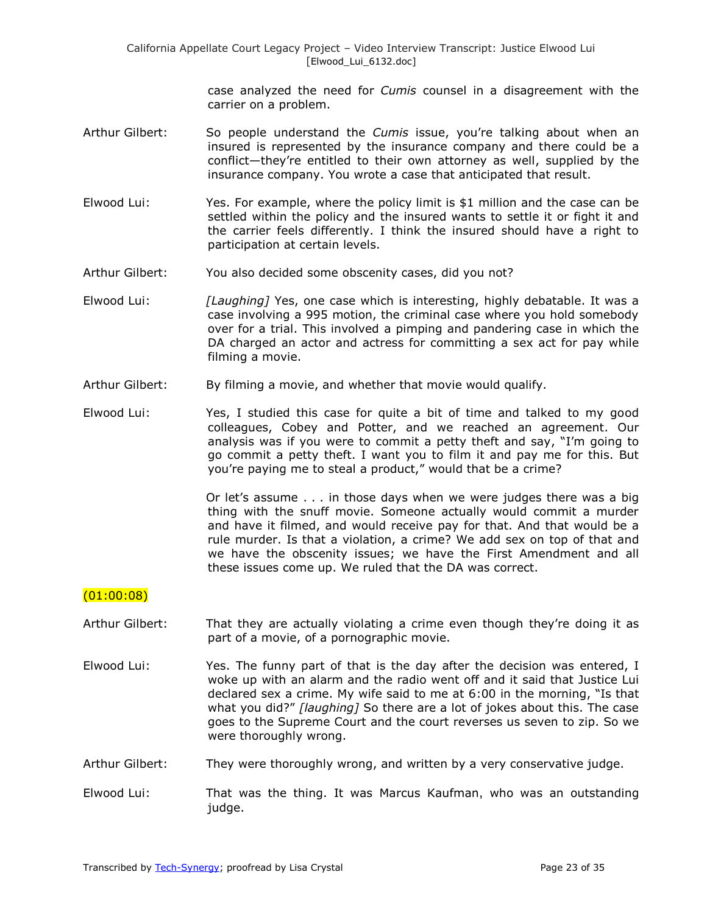case analyzed the need for *Cumis* counsel in a disagreement with the carrier on a problem.

- Arthur Gilbert: So people understand the *Cumis* issue, you're talking about when an insured is represented by the insurance company and there could be a conflict—they're entitled to their own attorney as well, supplied by the insurance company. You wrote a case that anticipated that result.
- Elwood Lui: Yes. For example, where the policy limit is \$1 million and the case can be settled within the policy and the insured wants to settle it or fight it and the carrier feels differently. I think the insured should have a right to participation at certain levels.
- Arthur Gilbert: You also decided some obscenity cases, did you not?
- Elwood Lui: *[Laughing]* Yes, one case which is interesting, highly debatable. It was a case involving a 995 motion, the criminal case where you hold somebody over for a trial. This involved a pimping and pandering case in which the DA charged an actor and actress for committing a sex act for pay while filming a movie.
- Arthur Gilbert: By filming a movie, and whether that movie would qualify.
- Elwood Lui: Yes, I studied this case for quite a bit of time and talked to my good colleagues, Cobey and Potter, and we reached an agreement. Our analysis was if you were to commit a petty theft and say, "I'm going to go commit a petty theft. I want you to film it and pay me for this. But you're paying me to steal a product," would that be a crime?

Or let's assume . . . in those days when we were judges there was a big thing with the snuff movie. Someone actually would commit a murder and have it filmed, and would receive pay for that. And that would be a rule murder. Is that a violation, a crime? We add sex on top of that and we have the obscenity issues; we have the First Amendment and all these issues come up. We ruled that the DA was correct.

### $(01:00:08)$

- Arthur Gilbert: That they are actually violating a crime even though they're doing it as part of a movie, of a pornographic movie.
- Elwood Lui: Yes. The funny part of that is the day after the decision was entered, I woke up with an alarm and the radio went off and it said that Justice Lui declared sex a crime. My wife said to me at  $6:00$  in the morning, "Is that what you did?" *[laughing]* So there are a lot of jokes about this. The case goes to the Supreme Court and the court reverses us seven to zip. So we were thoroughly wrong.
- Arthur Gilbert: They were thoroughly wrong, and written by a very conservative judge.
- Elwood Lui: That was the thing. It was Marcus Kaufman, who was an outstanding judge.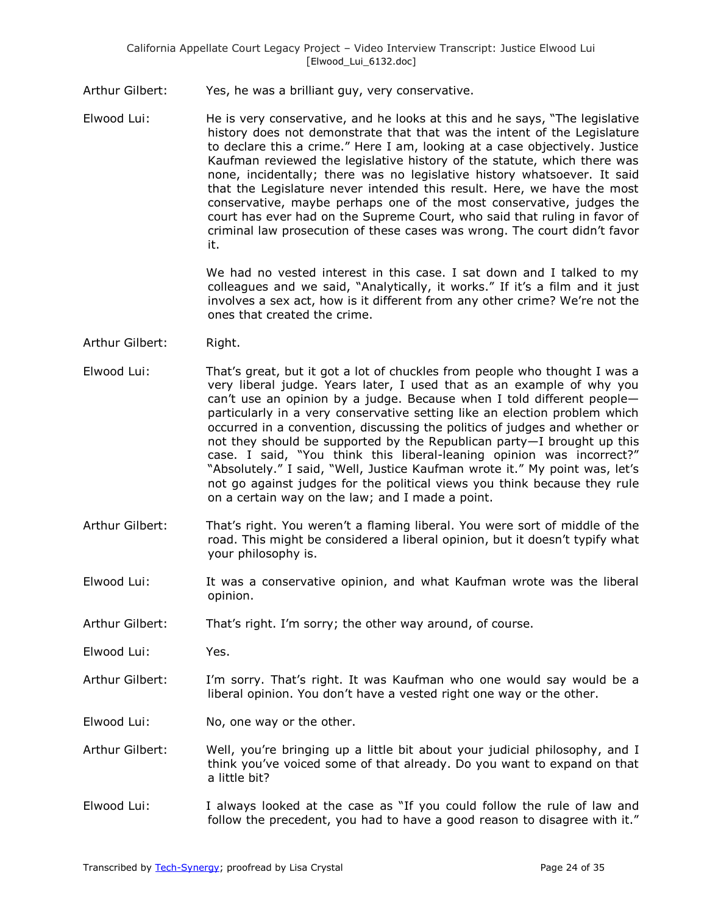- Arthur Gilbert: Yes, he was a brilliant guy, very conservative.
- Elwood Lui: He is very conservative, and he looks at this and he says, "The legislative history does not demonstrate that that was the intent of the Legislature to declare this a crime." Here I am, looking at a case objectively. Justice Kaufman reviewed the legislative history of the statute, which there was none, incidentally; there was no legislative history whatsoever. It said that the Legislature never intended this result. Here, we have the most conservative, maybe perhaps one of the most conservative, judges the court has ever had on the Supreme Court, who said that ruling in favor of criminal law prosecution of these cases was wrong. The court didn't favor it.

We had no vested interest in this case. I sat down and I talked to my colleagues and we said, "Analytically, it works." If it's a film and it just involves a sex act, how is it different from any other crime? We're not the ones that created the crime.

- Arthur Gilbert: Right.
- Elwood Lui: That's great, but it got a lot of chuckles from people who thought I was a very liberal judge. Years later, I used that as an example of why you can't use an opinion by a judge. Because when I told different people particularly in a very conservative setting like an election problem which occurred in a convention, discussing the politics of judges and whether or not they should be supported by the Republican party—I brought up this case. I said, "You think this liberal-leaning opinion was incorrect?" "Absolutely." I said, "Well, Justice Kaufman wrote it." My point was, let's not go against judges for the political views you think because they rule on a certain way on the law; and I made a point.
- Arthur Gilbert: That's right. You weren't a flaming liberal. You were sort of middle of the road. This might be considered a liberal opinion, but it doesn't typify what your philosophy is.
- Elwood Lui: It was a conservative opinion, and what Kaufman wrote was the liberal opinion.
- Arthur Gilbert: That's right. I'm sorry; the other way around, of course.
- Elwood Lui: Yes.
- Arthur Gilbert: I'm sorry. That's right. It was Kaufman who one would say would be a liberal opinion. You don't have a vested right one way or the other.
- Elwood Lui: No, one way or the other.
- Arthur Gilbert: Well, you're bringing up a little bit about your judicial philosophy, and I think you've voiced some of that already. Do you want to expand on that a little bit?
- Elwood Lui: I always looked at the case as "If you could follow the rule of law and follow the precedent, you had to have a good reason to disagree with it."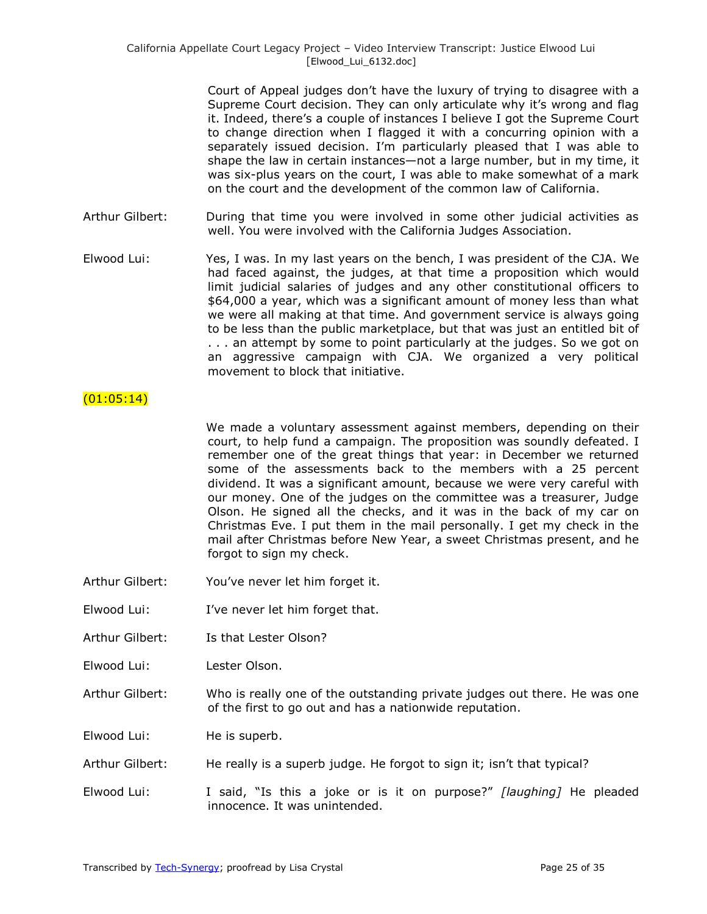Court of Appeal judges don't have the luxury of trying to disagree with a Supreme Court decision. They can only articulate why it's wrong and flag it. Indeed, there's a couple of instances I believe I got the Supreme Court to change direction when I flagged it with a concurring opinion with a separately issued decision. I'm particularly pleased that I was able to shape the law in certain instances—not a large number, but in my time, it was six-plus years on the court, I was able to make somewhat of a mark on the court and the development of the common law of California.

- Arthur Gilbert: During that time you were involved in some other judicial activities as well. You were involved with the California Judges Association.
- Elwood Lui: Yes, I was. In my last years on the bench, I was president of the CJA. We had faced against, the judges, at that time a proposition which would limit judicial salaries of judges and any other constitutional officers to \$64,000 a year, which was a significant amount of money less than what we were all making at that time. And government service is always going to be less than the public marketplace, but that was just an entitled bit of . . . an attempt by some to point particularly at the judges. So we got on an aggressive campaign with CJA. We organized a very political movement to block that initiative.

### $(01:05:14)$

We made a voluntary assessment against members, depending on their court, to help fund a campaign. The proposition was soundly defeated. I remember one of the great things that year: in December we returned some of the assessments back to the members with a 25 percent dividend. It was a significant amount, because we were very careful with our money. One of the judges on the committee was a treasurer, Judge Olson. He signed all the checks, and it was in the back of my car on Christmas Eve. I put them in the mail personally. I get my check in the mail after Christmas before New Year, a sweet Christmas present, and he forgot to sign my check.

- Arthur Gilbert: You've never let him forget it.
- Elwood Lui: I've never let him forget that.
- Arthur Gilbert: Is that Lester Olson?
- Elwood Lui: Lester Olson.
- Arthur Gilbert: Who is really one of the outstanding private judges out there. He was one of the first to go out and has a nationwide reputation.

Elwood Lui: He is superb.

- Arthur Gilbert: He really is a superb judge. He forgot to sign it; isn't that typical?
- Elwood Lui: I said, "Is this a joke or is it on purpose?" [laughing] He pleaded innocence. It was unintended.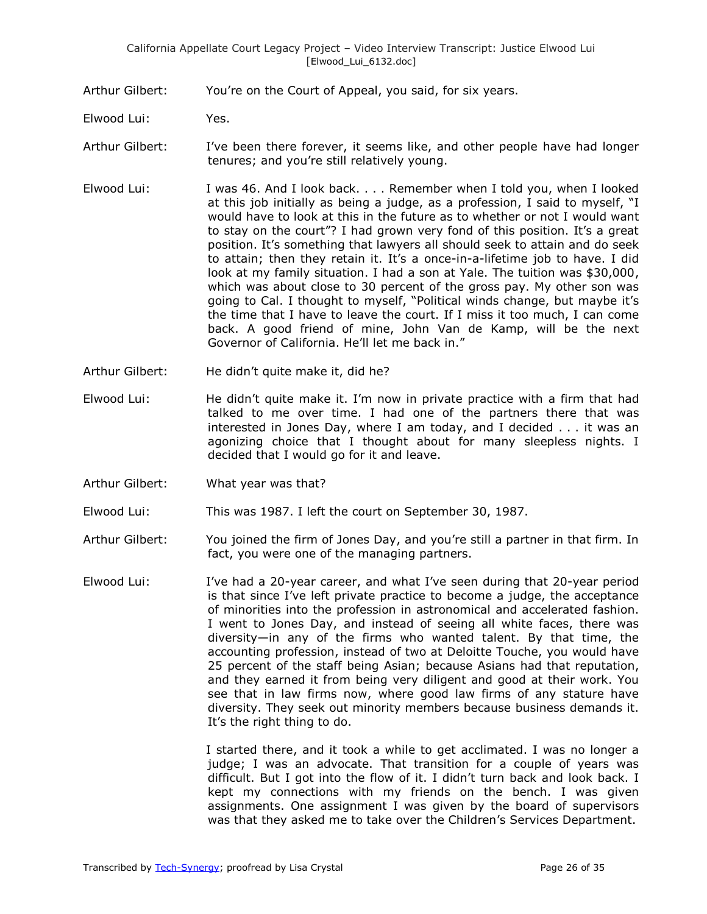Arthur Gilbert: You're on the Court of Appeal, you said, for six years.

- Elwood Lui: Yes.
- Arthur Gilbert: I've been there forever, it seems like, and other people have had longer tenures; and you're still relatively young.
- Elwood Lui: I was 46. And I look back. . . . Remember when I told you, when I looked at this job initially as being a judge, as a profession, I said to myself, "I would have to look at this in the future as to whether or not I would want to stay on the court"? I had grown very fond of this position. It's a great position. It's something that lawyers all should seek to attain and do seek to attain; then they retain it. It's a once-in-a-lifetime job to have. I did look at my family situation. I had a son at Yale. The tuition was \$30,000, which was about close to 30 percent of the gross pay. My other son was going to Cal. I thought to myself, "Political winds change, but maybe it's the time that I have to leave the court. If I miss it too much, I can come back. A good friend of mine, John Van de Kamp, will be the next Governor of California. He'll let me back in."
- Arthur Gilbert: He didn't quite make it, did he?
- Elwood Lui: He didn't quite make it. I'm now in private practice with a firm that had talked to me over time. I had one of the partners there that was interested in Jones Day, where I am today, and I decided . . . it was an agonizing choice that I thought about for many sleepless nights. I decided that I would go for it and leave.
- Arthur Gilbert: What year was that?
- Elwood Lui: This was 1987. I left the court on September 30, 1987.
- Arthur Gilbert: You joined the firm of Jones Day, and you're still a partner in that firm. In fact, you were one of the managing partners.
- Elwood Lui: I've had a 20-year career, and what I've seen during that 20-year period is that since I've left private practice to become a judge, the acceptance of minorities into the profession in astronomical and accelerated fashion. I went to Jones Day, and instead of seeing all white faces, there was diversity—in any of the firms who wanted talent. By that time, the accounting profession, instead of two at Deloitte Touche, you would have 25 percent of the staff being Asian; because Asians had that reputation, and they earned it from being very diligent and good at their work. You see that in law firms now, where good law firms of any stature have diversity. They seek out minority members because business demands it. It's the right thing to do.

I started there, and it took a while to get acclimated. I was no longer a judge; I was an advocate. That transition for a couple of years was difficult. But I got into the flow of it. I didn't turn back and look back. I kept my connections with my friends on the bench. I was given assignments. One assignment I was given by the board of supervisors was that they asked me to take over the Children's Services Department.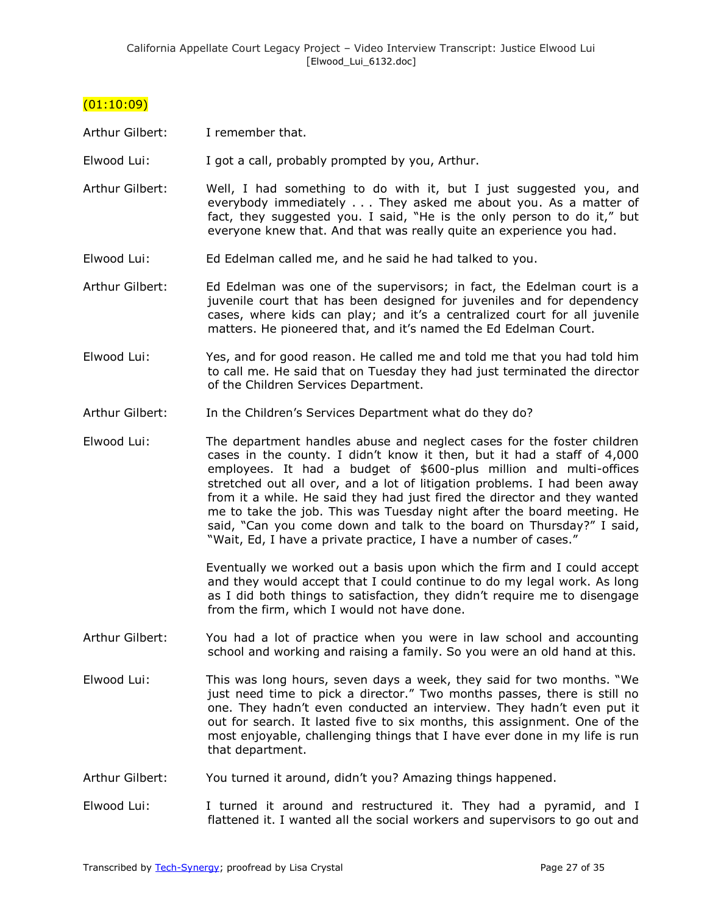### (01:10:09)

Arthur Gilbert: I remember that.

Elwood Lui: I got a call, probably prompted by you, Arthur.

- Arthur Gilbert: Well, I had something to do with it, but I just suggested you, and everybody immediately . . . They asked me about you. As a matter of fact, they suggested you. I said, "He is the only person to do it," but everyone knew that. And that was really quite an experience you had.
- Elwood Lui: Ed Edelman called me, and he said he had talked to you.
- Arthur Gilbert: Ed Edelman was one of the supervisors; in fact, the Edelman court is a juvenile court that has been designed for juveniles and for dependency cases, where kids can play; and it's a centralized court for all juvenile matters. He pioneered that, and it's named the Ed Edelman Court.
- Elwood Lui: Yes, and for good reason. He called me and told me that you had told him to call me. He said that on Tuesday they had just terminated the director of the Children Services Department.
- Arthur Gilbert: In the Children's Services Department what do they do?
- Elwood Lui: The department handles abuse and neglect cases for the foster children cases in the county. I didn't know it then, but it had a staff of 4,000 employees. It had a budget of \$600-plus million and multi-offices stretched out all over, and a lot of litigation problems. I had been away from it a while. He said they had just fired the director and they wanted me to take the job. This was Tuesday night after the board meeting. He said, "Can you come down and talk to the board on Thursday?" I said, "Wait, Ed, I have a private practice, I have a number of cases."

Eventually we worked out a basis upon which the firm and I could accept and they would accept that I could continue to do my legal work. As long as I did both things to satisfaction, they didn't require me to disengage from the firm, which I would not have done.

- Arthur Gilbert: You had a lot of practice when you were in law school and accounting school and working and raising a family. So you were an old hand at this.
- Elwood Lui: This was long hours, seven days a week, they said for two months. "We just need time to pick a director." Two months passes, there is still no one. They hadn't even conducted an interview. They hadn't even put it out for search. It lasted five to six months, this assignment. One of the most enjoyable, challenging things that I have ever done in my life is run that department.
- Arthur Gilbert: You turned it around, didn't you? Amazing things happened.
- Elwood Lui: I turned it around and restructured it. They had a pyramid, and I flattened it. I wanted all the social workers and supervisors to go out and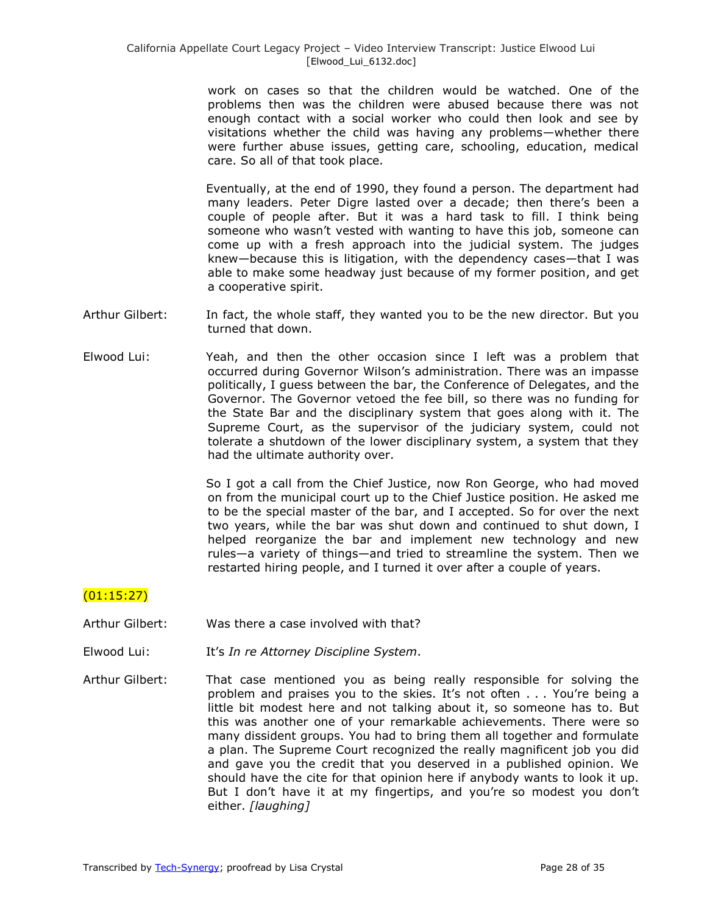work on cases so that the children would be watched. One of the problems then was the children were abused because there was not enough contact with a social worker who could then look and see by visitations whether the child was having any problems—whether there were further abuse issues, getting care, schooling, education, medical care. So all of that took place.

Eventually, at the end of 1990, they found a person. The department had many leaders. Peter Digre lasted over a decade; then there's been a couple of people after. But it was a hard task to fill. I think being someone who wasn't vested with wanting to have this job, someone can come up with a fresh approach into the judicial system. The judges knew—because this is litigation, with the dependency cases—that I was able to make some headway just because of my former position, and get a cooperative spirit.

- Arthur Gilbert: In fact, the whole staff, they wanted you to be the new director. But you turned that down.
- Elwood Lui: Yeah, and then the other occasion since I left was a problem that occurred during Governor Wilson's administration. There was an impasse politically, I guess between the bar, the Conference of Delegates, and the Governor. The Governor vetoed the fee bill, so there was no funding for the State Bar and the disciplinary system that goes along with it. The Supreme Court, as the supervisor of the judiciary system, could not tolerate a shutdown of the lower disciplinary system, a system that they had the ultimate authority over.

So I got a call from the Chief Justice, now Ron George, who had moved on from the municipal court up to the Chief Justice position. He asked me to be the special master of the bar, and I accepted. So for over the next two years, while the bar was shut down and continued to shut down, I helped reorganize the bar and implement new technology and new rules—a variety of things—and tried to streamline the system. Then we restarted hiring people, and I turned it over after a couple of years.

# (01:15:27)

- Arthur Gilbert: Was there a case involved with that?
- Elwood Lui: It's *In re Attorney Discipline System*.
- Arthur Gilbert: That case mentioned you as being really responsible for solving the problem and praises you to the skies. It's not often . . . You're being a little bit modest here and not talking about it, so someone has to. But this was another one of your remarkable achievements. There were so many dissident groups. You had to bring them all together and formulate a plan. The Supreme Court recognized the really magnificent job you did and gave you the credit that you deserved in a published opinion. We should have the cite for that opinion here if anybody wants to look it up. But I don't have it at my fingertips, and you're so modest you don't either. *[laughing]*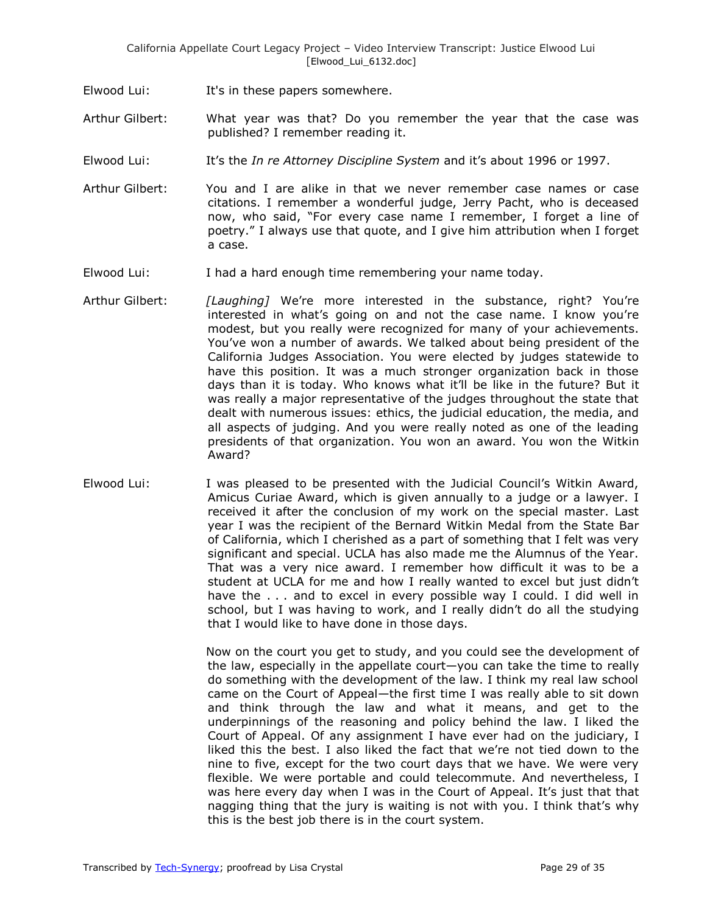- Elwood Lui: It's in these papers somewhere.
- Arthur Gilbert: What year was that? Do you remember the year that the case was published? I remember reading it.
- Elwood Lui: It's the *In re Attorney Discipline System* and it's about 1996 or 1997.
- Arthur Gilbert: You and I are alike in that we never remember case names or case citations. I remember a wonderful judge, Jerry Pacht, who is deceased now, who said, "For every case name I remember, I forget a line of poetry.‖ I always use that quote, and I give him attribution when I forget a case.
- Elwood Lui: I had a hard enough time remembering your name today.
- Arthur Gilbert: *[Laughing]* We're more interested in the substance, right? You're interested in what's going on and not the case name. I know you're modest, but you really were recognized for many of your achievements. You've won a number of awards. We talked about being president of the California Judges Association. You were elected by judges statewide to have this position. It was a much stronger organization back in those days than it is today. Who knows what it'll be like in the future? But it was really a major representative of the judges throughout the state that dealt with numerous issues: ethics, the judicial education, the media, and all aspects of judging. And you were really noted as one of the leading presidents of that organization. You won an award. You won the Witkin Award?
- Elwood Lui: I was pleased to be presented with the Judicial Council's Witkin Award, Amicus Curiae Award, which is given annually to a judge or a lawyer. I received it after the conclusion of my work on the special master. Last year I was the recipient of the Bernard Witkin Medal from the State Bar of California, which I cherished as a part of something that I felt was very significant and special. UCLA has also made me the Alumnus of the Year. That was a very nice award. I remember how difficult it was to be a student at UCLA for me and how I really wanted to excel but just didn't have the . . . and to excel in every possible way I could. I did well in school, but I was having to work, and I really didn't do all the studying that I would like to have done in those days.

Now on the court you get to study, and you could see the development of the law, especially in the appellate court—you can take the time to really do something with the development of the law. I think my real law school came on the Court of Appeal—the first time I was really able to sit down and think through the law and what it means, and get to the underpinnings of the reasoning and policy behind the law. I liked the Court of Appeal. Of any assignment I have ever had on the judiciary, I liked this the best. I also liked the fact that we're not tied down to the nine to five, except for the two court days that we have. We were very flexible. We were portable and could telecommute. And nevertheless, I was here every day when I was in the Court of Appeal. It's just that that nagging thing that the jury is waiting is not with you. I think that's why this is the best job there is in the court system.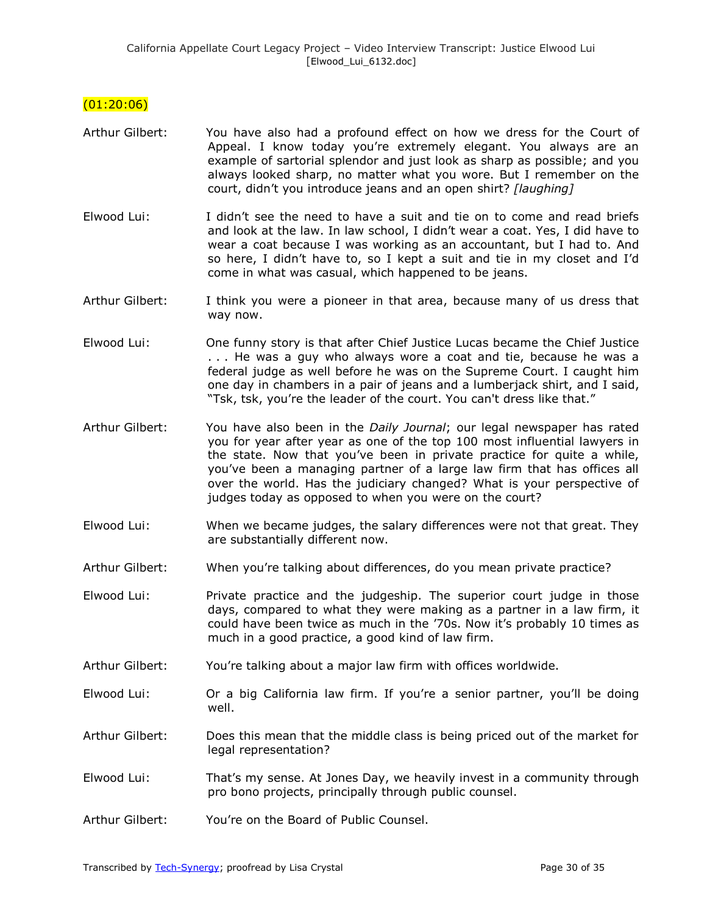### $(01:20:06)$

- Arthur Gilbert: You have also had a profound effect on how we dress for the Court of Appeal. I know today you're extremely elegant. You always are an example of sartorial splendor and just look as sharp as possible; and you always looked sharp, no matter what you wore. But I remember on the court, didn't you introduce jeans and an open shirt? *[laughing]*
- Elwood Lui: I didn't see the need to have a suit and tie on to come and read briefs and look at the law. In law school, I didn't wear a coat. Yes, I did have to wear a coat because I was working as an accountant, but I had to. And so here, I didn't have to, so I kept a suit and tie in my closet and I'd come in what was casual, which happened to be jeans.
- Arthur Gilbert: I think you were a pioneer in that area, because many of us dress that way now.
- Elwood Lui: One funny story is that after Chief Justice Lucas became the Chief Justice . . . He was a guy who always wore a coat and tie, because he was a federal judge as well before he was on the Supreme Court. I caught him one day in chambers in a pair of jeans and a lumberjack shirt, and I said, "Tsk, tsk, you're the leader of the court. You can't dress like that."
- Arthur Gilbert: You have also been in the *Daily Journal*; our legal newspaper has rated you for year after year as one of the top 100 most influential lawyers in the state. Now that you've been in private practice for quite a while, you've been a managing partner of a large law firm that has offices all over the world. Has the judiciary changed? What is your perspective of judges today as opposed to when you were on the court?
- Elwood Lui: When we became judges, the salary differences were not that great. They are substantially different now.
- Arthur Gilbert: When you're talking about differences, do you mean private practice?
- Elwood Lui: Private practice and the judgeship. The superior court judge in those days, compared to what they were making as a partner in a law firm, it could have been twice as much in the '70s. Now it's probably 10 times as much in a good practice, a good kind of law firm.
- Arthur Gilbert: You're talking about a major law firm with offices worldwide.
- Elwood Lui: Or a big California law firm. If you're a senior partner, you'll be doing well.
- Arthur Gilbert: Does this mean that the middle class is being priced out of the market for legal representation?
- Elwood Lui: That's my sense. At Jones Day, we heavily invest in a community through pro bono projects, principally through public counsel.
- Arthur Gilbert: You're on the Board of Public Counsel.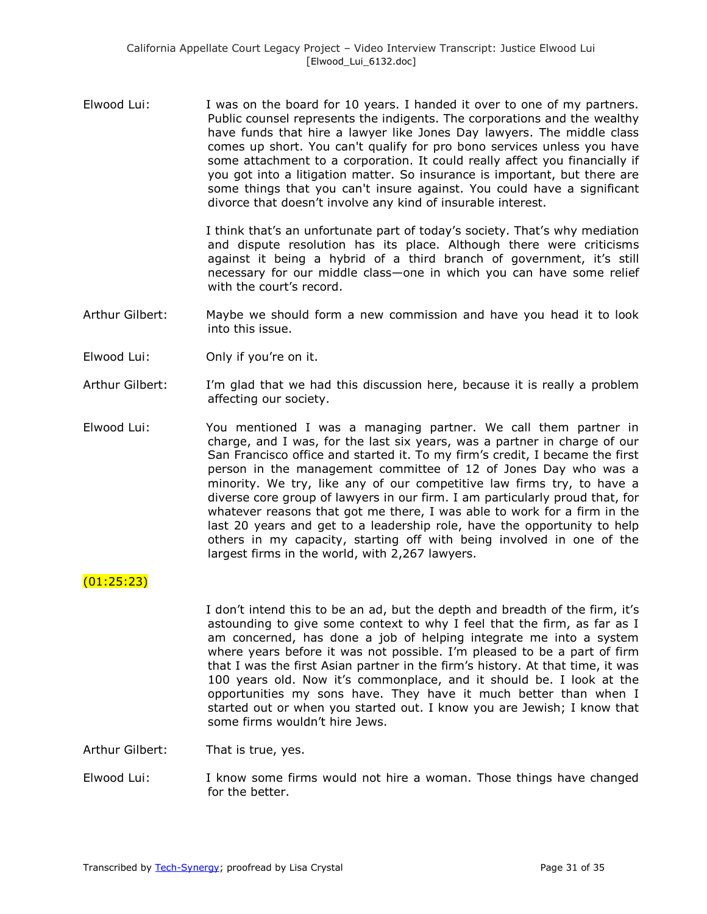Elwood Lui: I was on the board for 10 years. I handed it over to one of my partners. Public counsel represents the indigents. The corporations and the wealthy have funds that hire a lawyer like Jones Day lawyers. The middle class comes up short. You can't qualify for pro bono services unless you have some attachment to a corporation. It could really affect you financially if you got into a litigation matter. So insurance is important, but there are some things that you can't insure against. You could have a significant divorce that doesn't involve any kind of insurable interest.

> I think that's an unfortunate part of today's society. That's why mediation and dispute resolution has its place. Although there were criticisms against it being a hybrid of a third branch of government, it's still necessary for our middle class—one in which you can have some relief with the court's record.

- Arthur Gilbert: Maybe we should form a new commission and have you head it to look into this issue.
- Elwood Lui: Only if you're on it.
- Arthur Gilbert: I'm glad that we had this discussion here, because it is really a problem affecting our society.
- Elwood Lui: You mentioned I was a managing partner. We call them partner in charge, and I was, for the last six years, was a partner in charge of our San Francisco office and started it. To my firm's credit, I became the first person in the management committee of 12 of Jones Day who was a minority. We try, like any of our competitive law firms try, to have a diverse core group of lawyers in our firm. I am particularly proud that, for whatever reasons that got me there, I was able to work for a firm in the last 20 years and get to a leadership role, have the opportunity to help others in my capacity, starting off with being involved in one of the largest firms in the world, with 2,267 lawyers.

# (01:25:23)

I don't intend this to be an ad, but the depth and breadth of the firm, it's astounding to give some context to why I feel that the firm, as far as I am concerned, has done a job of helping integrate me into a system where years before it was not possible. I'm pleased to be a part of firm that I was the first Asian partner in the firm's history. At that time, it was 100 years old. Now it's commonplace, and it should be. I look at the opportunities my sons have. They have it much better than when I started out or when you started out. I know you are Jewish; I know that some firms wouldn't hire Jews.

Arthur Gilbert: That is true, yes.

Elwood Lui: I know some firms would not hire a woman. Those things have changed for the better.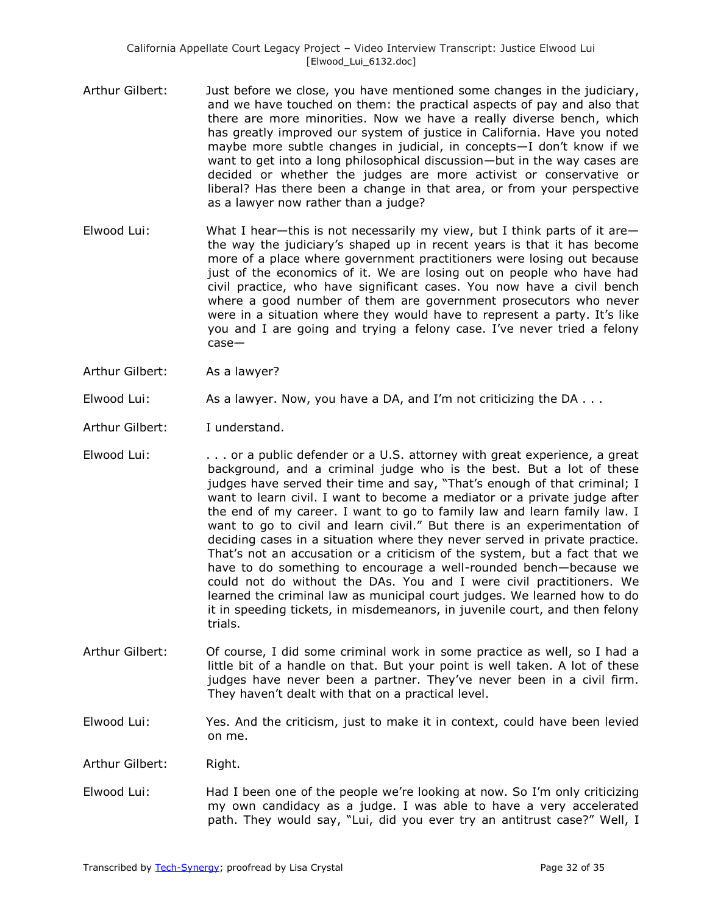- Arthur Gilbert: Just before we close, you have mentioned some changes in the judiciary, and we have touched on them: the practical aspects of pay and also that there are more minorities. Now we have a really diverse bench, which has greatly improved our system of justice in California. Have you noted maybe more subtle changes in judicial, in concepts—I don't know if we want to get into a long philosophical discussion—but in the way cases are decided or whether the judges are more activist or conservative or liberal? Has there been a change in that area, or from your perspective as a lawyer now rather than a judge?
- Elwood Lui: What I hear—this is not necessarily my view, but I think parts of it are the way the judiciary's shaped up in recent years is that it has become more of a place where government practitioners were losing out because just of the economics of it. We are losing out on people who have had civil practice, who have significant cases. You now have a civil bench where a good number of them are government prosecutors who never were in a situation where they would have to represent a party. It's like you and I are going and trying a felony case. I've never tried a felony case—
- Arthur Gilbert: As a lawyer?
- Elwood Lui: As a lawyer. Now, you have a DA, and I'm not criticizing the DA . . .
- Arthur Gilbert: I understand.
- Elwood Lui: . . . or a public defender or a U.S. attorney with great experience, a great background, and a criminal judge who is the best. But a lot of these judges have served their time and say, "That's enough of that criminal; I want to learn civil. I want to become a mediator or a private judge after the end of my career. I want to go to family law and learn family law. I want to go to civil and learn civil." But there is an experimentation of deciding cases in a situation where they never served in private practice. That's not an accusation or a criticism of the system, but a fact that we have to do something to encourage a well-rounded bench—because we could not do without the DAs. You and I were civil practitioners. We learned the criminal law as municipal court judges. We learned how to do it in speeding tickets, in misdemeanors, in juvenile court, and then felony trials.
- Arthur Gilbert: Of course, I did some criminal work in some practice as well, so I had a little bit of a handle on that. But your point is well taken. A lot of these judges have never been a partner. They've never been in a civil firm. They haven't dealt with that on a practical level.
- Elwood Lui: Yes. And the criticism, just to make it in context, could have been levied on me.
- Arthur Gilbert: Right.
- Elwood Lui: Had I been one of the people we're looking at now. So I'm only criticizing my own candidacy as a judge. I was able to have a very accelerated path. They would say, "Lui, did you ever try an antitrust case?" Well, I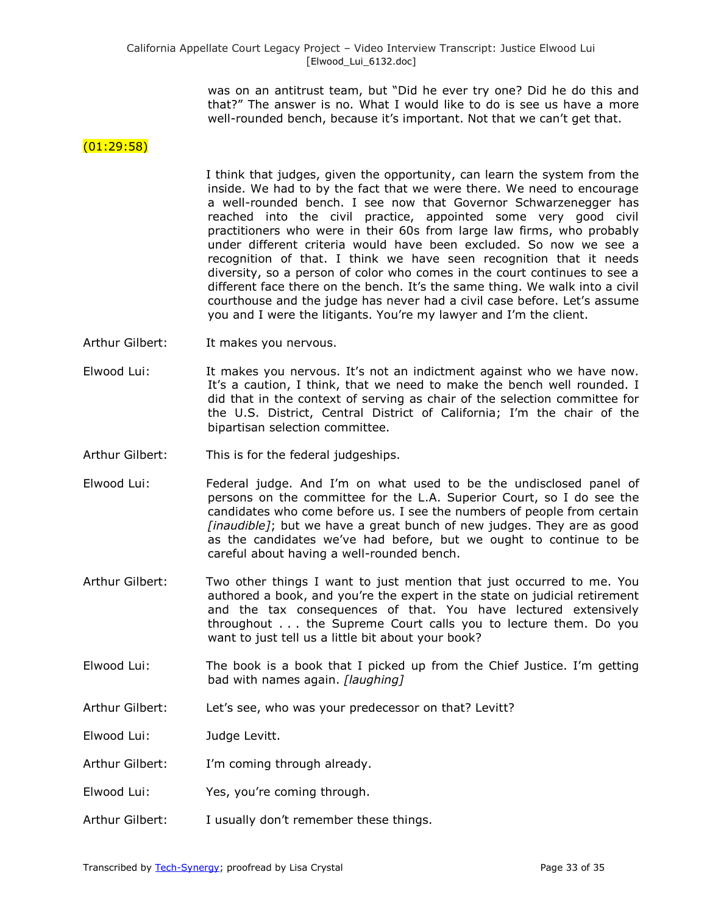was on an antitrust team, but "Did he ever try one? Did he do this and that?" The answer is no. What I would like to do is see us have a more well-rounded bench, because it's important. Not that we can't get that.

### $(01:29:58)$

I think that judges, given the opportunity, can learn the system from the inside. We had to by the fact that we were there. We need to encourage a well-rounded bench. I see now that Governor Schwarzenegger has reached into the civil practice, appointed some very good civil practitioners who were in their 60s from large law firms, who probably under different criteria would have been excluded. So now we see a recognition of that. I think we have seen recognition that it needs diversity, so a person of color who comes in the court continues to see a different face there on the bench. It's the same thing. We walk into a civil courthouse and the judge has never had a civil case before. Let's assume you and I were the litigants. You're my lawyer and I'm the client.

- Arthur Gilbert: It makes you nervous.
- Elwood Lui: It makes you nervous. It's not an indictment against who we have now. It's a caution, I think, that we need to make the bench well rounded. I did that in the context of serving as chair of the selection committee for the U.S. District, Central District of California; I'm the chair of the bipartisan selection committee.
- Arthur Gilbert: This is for the federal judgeships.
- Elwood Lui: Federal judge. And I'm on what used to be the undisclosed panel of persons on the committee for the L.A. Superior Court, so I do see the candidates who come before us. I see the numbers of people from certain *[inaudible]*; but we have a great bunch of new judges. They are as good as the candidates we've had before, but we ought to continue to be careful about having a well-rounded bench.
- Arthur Gilbert: Two other things I want to just mention that just occurred to me. You authored a book, and you're the expert in the state on judicial retirement and the tax consequences of that. You have lectured extensively throughout . . . the Supreme Court calls you to lecture them. Do you want to just tell us a little bit about your book?
- Elwood Lui: The book is a book that I picked up from the Chief Justice. I'm getting bad with names again. *[laughing]*
- Arthur Gilbert: Let's see, who was your predecessor on that? Levitt?
- Elwood Lui: Judge Levitt.
- Arthur Gilbert: I'm coming through already.
- Elwood Lui: Yes, you're coming through.
- Arthur Gilbert: I usually don't remember these things.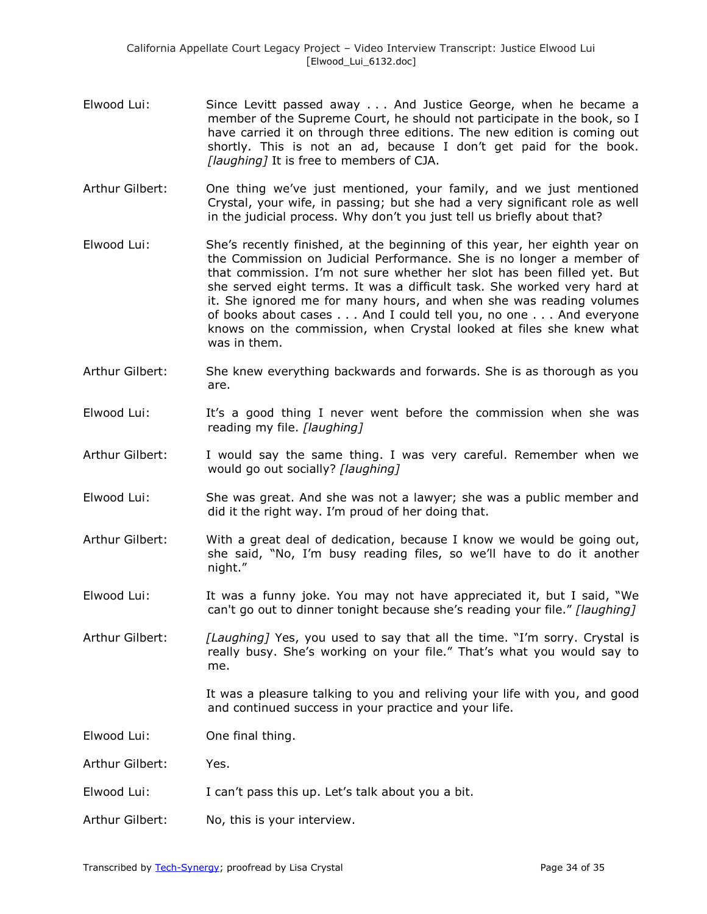- Elwood Lui: Since Levitt passed away . . . And Justice George, when he became a member of the Supreme Court, he should not participate in the book, so I have carried it on through three editions. The new edition is coming out shortly. This is not an ad, because I don't get paid for the book. *[laughing]* It is free to members of CJA.
- Arthur Gilbert: One thing we've just mentioned, your family, and we just mentioned Crystal, your wife, in passing; but she had a very significant role as well in the judicial process. Why don't you just tell us briefly about that?
- Elwood Lui: She's recently finished, at the beginning of this year, her eighth year on the Commission on Judicial Performance. She is no longer a member of that commission. I'm not sure whether her slot has been filled yet. But she served eight terms. It was a difficult task. She worked very hard at it. She ignored me for many hours, and when she was reading volumes of books about cases . . . And I could tell you, no one . . . And everyone knows on the commission, when Crystal looked at files she knew what was in them.
- Arthur Gilbert: She knew everything backwards and forwards. She is as thorough as you are.
- Elwood Lui: It's a good thing I never went before the commission when she was reading my file. *[laughing]*
- Arthur Gilbert: I would say the same thing. I was very careful. Remember when we would go out socially? *[laughing]*
- Elwood Lui: She was great. And she was not a lawyer; she was a public member and did it the right way. I'm proud of her doing that.
- Arthur Gilbert: With a great deal of dedication, because I know we would be going out, she said, "No, I'm busy reading files, so we'll have to do it another night."
- Elwood Lui: It was a funny joke. You may not have appreciated it, but I said, "We can't go out to dinner tonight because she's reading your file." [laughing]

Arthur Gilbert: *[Laughing]* Yes, you used to say that all the time. "I'm sorry. Crystal is really busy. She's working on your file." That's what you would say to me.

> It was a pleasure talking to you and reliving your life with you, and good and continued success in your practice and your life.

Elwood Lui: One final thing.

Arthur Gilbert: Yes.

- Elwood Lui: I can't pass this up. Let's talk about you a bit.
- Arthur Gilbert: No, this is your interview.